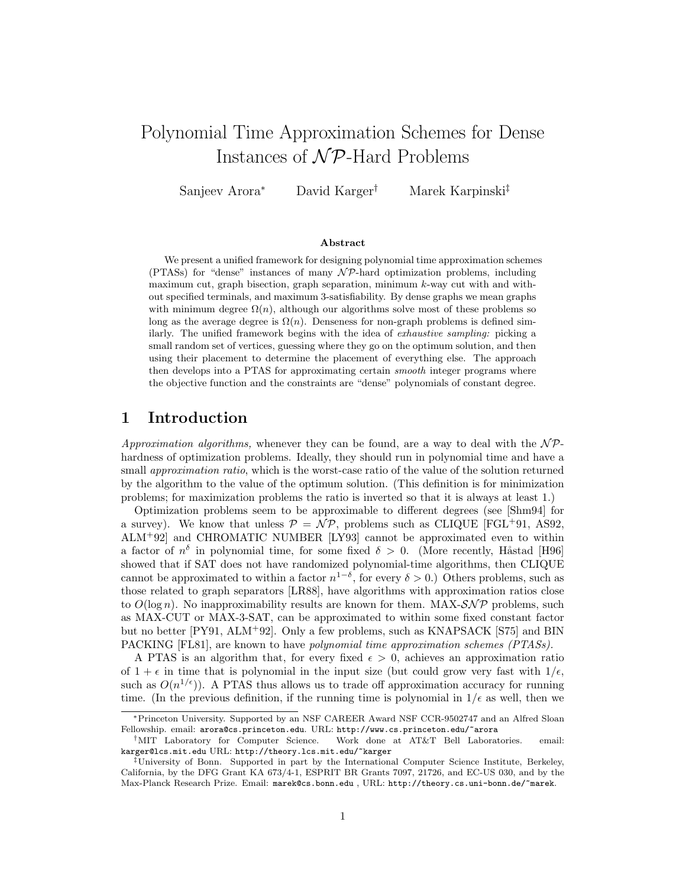# Polynomial Time Approximation Schemes for Dense Instances of  $\mathcal{NP}$ -Hard Problems

Sanjeev Arora<sup>∗</sup> David Karger† Marek Karpinski‡

#### Abstract

We present a unified framework for designing polynomial time approximation schemes (PTASs) for "dense" instances of many  $\mathcal{NP}$ -hard optimization problems, including maximum cut, graph bisection, graph separation, minimum k-way cut with and without specified terminals, and maximum 3-satisfiability. By dense graphs we mean graphs with minimum degree  $\Omega(n)$ , although our algorithms solve most of these problems so long as the average degree is  $\Omega(n)$ . Denseness for non-graph problems is defined similarly. The unified framework begins with the idea of exhaustive sampling: picking a small random set of vertices, guessing where they go on the optimum solution, and then using their placement to determine the placement of everything else. The approach then develops into a PTAS for approximating certain smooth integer programs where the objective function and the constraints are "dense" polynomials of constant degree.

# 1 Introduction

Approximation algorithms, whenever they can be found, are a way to deal with the  $\mathcal{NP}$ hardness of optimization problems. Ideally, they should run in polynomial time and have a small *approximation ratio*, which is the worst-case ratio of the value of the solution returned by the algorithm to the value of the optimum solution. (This definition is for minimization problems; for maximization problems the ratio is inverted so that it is always at least 1.)

Optimization problems seem to be approximable to different degrees (see [Shm94] for a survey). We know that unless  $\mathcal{P} = \mathcal{NP}$ , problems such as CLIQUE [FGL+91, AS92, ALM<sup>+</sup>92] and CHROMATIC NUMBER [LY93] cannot be approximated even to within a factor of  $n^{\delta}$  in polynomial time, for some fixed  $\delta > 0$ . (More recently, Håstad [H96] showed that if SAT does not have randomized polynomial-time algorithms, then CLIQUE cannot be approximated to within a factor  $n^{1-\delta}$ , for every  $\delta > 0$ .) Others problems, such as those related to graph separators [LR88], have algorithms with approximation ratios close to  $O(\log n)$ . No inapproximability results are known for them. MAX- $\mathcal{SNP}$  problems, such as MAX-CUT or MAX-3-SAT, can be approximated to within some fixed constant factor but no better [PY91, ALM<sup>+</sup>92]. Only a few problems, such as KNAPSACK [S75] and BIN PACKING [FL81], are known to have *polynomial time approximation schemes (PTASs)*.

A PTAS is an algorithm that, for every fixed  $\epsilon > 0$ , achieves an approximation ratio of  $1 + \epsilon$  in time that is polynomial in the input size (but could grow very fast with  $1/\epsilon$ , such as  $O(n^{1/\epsilon})$ . A PTAS thus allows us to trade off approximation accuracy for running time. (In the previous definition, if the running time is polynomial in  $1/\epsilon$  as well, then we

<sup>∗</sup>Princeton University. Supported by an NSF CAREER Award NSF CCR-9502747 and an Alfred Sloan Fellowship. email: arora@cs.princeton.edu. URL: http://www.cs.princeton.edu/~arora

<sup>†</sup>MIT Laboratory for Computer Science. Work done at AT&T Bell Laboratories. email: karger@lcs.mit.edu URL: http://theory.lcs.mit.edu/~karger

<sup>‡</sup>University of Bonn. Supported in part by the International Computer Science Institute, Berkeley, California, by the DFG Grant KA 673/4-1, ESPRIT BR Grants 7097, 21726, and EC-US 030, and by the Max-Planck Research Prize. Email: marek@cs.bonn.edu , URL: http://theory.cs.uni-bonn.de/~marek.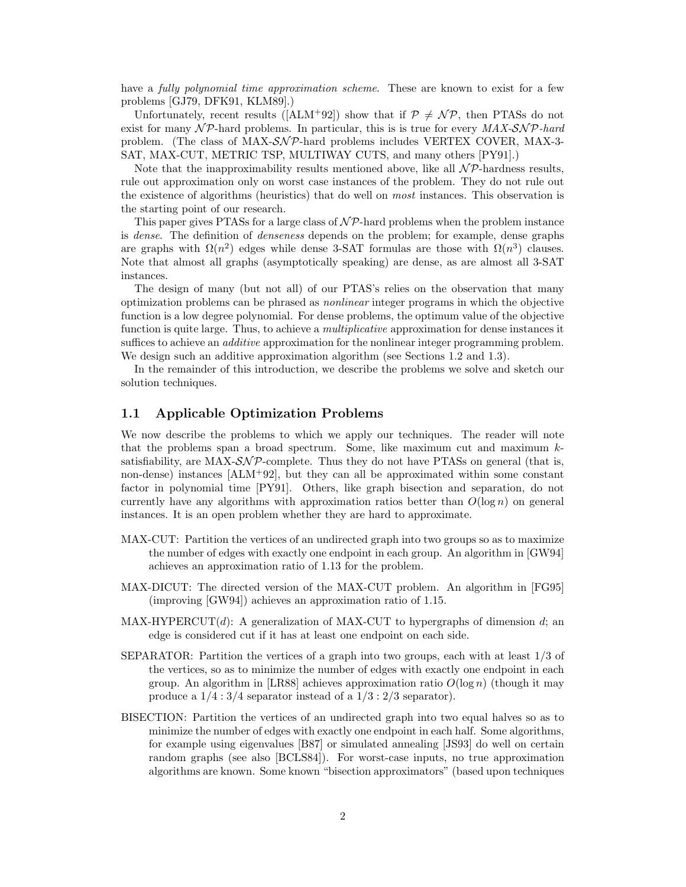have a *fully polynomial time approximation scheme*. These are known to exist for a few problems [GJ79, DFK91, KLM89].)

Unfortunately, recent results ([ALM+92]) show that if  $\mathcal{P} \neq \mathcal{NP}$ , then PTASs do not exist for many  $\mathcal{NP}$ -hard problems. In particular, this is is true for every  $MAX\text{-}S\mathcal{NP}$ -hard problem. (The class of MAX-SNP-hard problems includes VERTEX COVER, MAX-3-SAT, MAX-CUT, METRIC TSP, MULTIWAY CUTS, and many others [PY91].)

Note that the inapproximability results mentioned above, like all  $\mathcal{NP}$ -hardness results, rule out approximation only on worst case instances of the problem. They do not rule out the existence of algorithms (heuristics) that do well on most instances. This observation is the starting point of our research.

This paper gives PTASs for a large class of  $N\mathcal{P}$ -hard problems when the problem instance is dense. The definition of denseness depends on the problem; for example, dense graphs are graphs with  $\Omega(n^2)$  edges while dense 3-SAT formulas are those with  $\Omega(n^3)$  clauses. Note that almost all graphs (asymptotically speaking) are dense, as are almost all 3-SAT instances.

The design of many (but not all) of our PTAS's relies on the observation that many optimization problems can be phrased as nonlinear integer programs in which the objective function is a low degree polynomial. For dense problems, the optimum value of the objective function is quite large. Thus, to achieve a *multiplicative* approximation for dense instances it suffices to achieve an *additive* approximation for the nonlinear integer programming problem. We design such an additive approximation algorithm (see Sections 1.2 and 1.3).

In the remainder of this introduction, we describe the problems we solve and sketch our solution techniques.

### 1.1 Applicable Optimization Problems

We now describe the problems to which we apply our techniques. The reader will note that the problems span a broad spectrum. Some, like maximum cut and maximum ksatisfiability, are MAX- $\mathcal{SNP}$ -complete. Thus they do not have PTASs on general (that is, non-dense) instances [ALM<sup>+</sup>92], but they can all be approximated within some constant factor in polynomial time [PY91]. Others, like graph bisection and separation, do not currently have any algorithms with approximation ratios better than  $O(\log n)$  on general instances. It is an open problem whether they are hard to approximate.

- MAX-CUT: Partition the vertices of an undirected graph into two groups so as to maximize the number of edges with exactly one endpoint in each group. An algorithm in [GW94] achieves an approximation ratio of 1.13 for the problem.
- MAX-DICUT: The directed version of the MAX-CUT problem. An algorithm in [FG95] (improving [GW94]) achieves an approximation ratio of 1.15.
- $MAX-HYPERCUT(d):$  A generalization of MAX-CUT to hypergraphs of dimension d; an edge is considered cut if it has at least one endpoint on each side.
- SEPARATOR: Partition the vertices of a graph into two groups, each with at least 1/3 of the vertices, so as to minimize the number of edges with exactly one endpoint in each group. An algorithm in [LR88] achieves approximation ratio  $O(\log n)$  (though it may produce a  $1/4$ :  $3/4$  separator instead of a  $1/3$ :  $2/3$  separator).
- BISECTION: Partition the vertices of an undirected graph into two equal halves so as to minimize the number of edges with exactly one endpoint in each half. Some algorithms, for example using eigenvalues [B87] or simulated annealing [JS93] do well on certain random graphs (see also [BCLS84]). For worst-case inputs, no true approximation algorithms are known. Some known "bisection approximators" (based upon techniques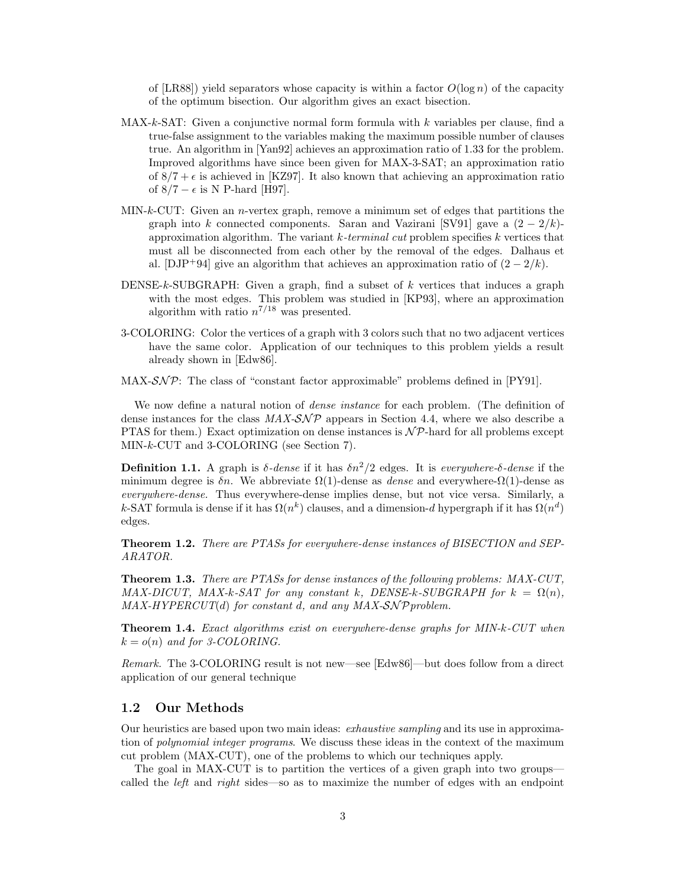of [LR88]) yield separators whose capacity is within a factor  $O(\log n)$  of the capacity of the optimum bisection. Our algorithm gives an exact bisection.

- $MAX-k-SAT: Given a conjunctive normal form formula with  $k$  variables per clause, find a$ true-false assignment to the variables making the maximum possible number of clauses true. An algorithm in [Yan92] achieves an approximation ratio of 1.33 for the problem. Improved algorithms have since been given for MAX-3-SAT; an approximation ratio of  $8/7 + \epsilon$  is achieved in [KZ97]. It also known that achieving an approximation ratio of  $8/7 - \epsilon$  is N P-hard [H97].
- $MIN-k-CUT:$  Given an *n*-vertex graph, remove a minimum set of edges that partitions the graph into k connected components. Saran and Vazirani [SV91] gave a  $(2 - 2/k)$ approximation algorithm. The variant  $k$ -terminal cut problem specifies  $k$  vertices that must all be disconnected from each other by the removal of the edges. Dalhaus et al. [DJP<sup>+94]</sup> give an algorithm that achieves an approximation ratio of  $(2 - 2/k)$ .
- DENSE-k-SUBGRAPH: Given a graph, find a subset of  $k$  vertices that induces a graph with the most edges. This problem was studied in [KP93], where an approximation algorithm with ratio  $n^{7/18}$  was presented.
- 3-COLORING: Color the vertices of a graph with 3 colors such that no two adjacent vertices have the same color. Application of our techniques to this problem yields a result already shown in [Edw86].
- MAX- $\mathcal{SNP}$ : The class of "constant factor approximable" problems defined in [PY91].

We now define a natural notion of *dense instance* for each problem. (The definition of dense instances for the class  $MAX-SNP$  appears in Section 4.4, where we also describe a PTAS for them.) Exact optimization on dense instances is  $N\mathcal{P}$ -hard for all problems except MIN-k-CUT and 3-COLORING (see Section 7).

**Definition 1.1.** A graph is  $\delta$ -dense if it has  $\delta n^2/2$  edges. It is everywhere- $\delta$ -dense if the minimum degree is  $\delta n$ . We abbreviate  $\Omega(1)$ -dense as *dense* and everywhere- $\Omega(1)$ -dense as everywhere-dense. Thus everywhere-dense implies dense, but not vice versa. Similarly, a k-SAT formula is dense if it has  $\Omega(n^k)$  clauses, and a dimension-d hypergraph if it has  $\Omega(n^d)$ edges.

Theorem 1.2. There are PTASs for everywhere-dense instances of BISECTION and SEP-ARATOR.

Theorem 1.3. There are PTASs for dense instances of the following problems: MAX-CUT, MAX-DICUT, MAX-k-SAT for any constant k, DENSE-k-SUBGRAPH for  $k = \Omega(n)$ ,  $MAX-HYPERCUT(d)$  for constant d, and any  $MAX-SNP problem$ .

**Theorem 1.4.** Exact algorithms exist on everywhere-dense graphs for MIN-k-CUT when  $k = o(n)$  and for 3-COLORING.

Remark. The 3-COLORING result is not new—see [Edw86]—but does follow from a direct application of our general technique

#### 1.2 Our Methods

Our heuristics are based upon two main ideas: exhaustive sampling and its use in approximation of *polynomial integer programs*. We discuss these ideas in the context of the maximum cut problem (MAX-CUT), one of the problems to which our techniques apply.

The goal in MAX-CUT is to partition the vertices of a given graph into two groups called the *left* and *right* sides—so as to maximize the number of edges with an endpoint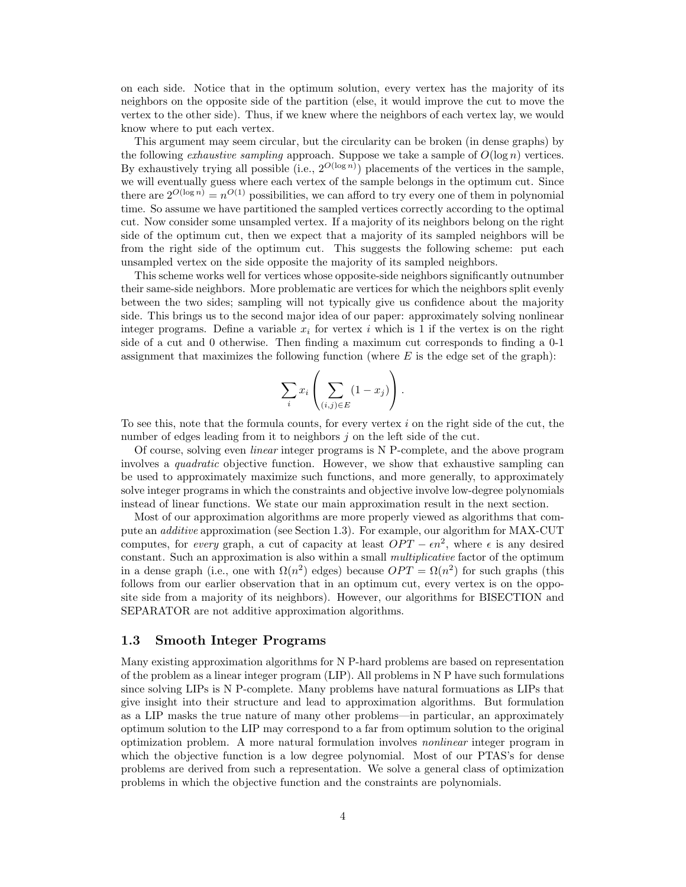on each side. Notice that in the optimum solution, every vertex has the majority of its neighbors on the opposite side of the partition (else, it would improve the cut to move the vertex to the other side). Thus, if we knew where the neighbors of each vertex lay, we would know where to put each vertex.

This argument may seem circular, but the circularity can be broken (in dense graphs) by the following *exhaustive sampling* approach. Suppose we take a sample of  $O(\log n)$  vertices. By exhaustively trying all possible (i.e.,  $2^{O(\log n)}$ ) placements of the vertices in the sample, we will eventually guess where each vertex of the sample belongs in the optimum cut. Since there are  $2^{O(\log n)} = n^{O(1)}$  possibilities, we can afford to try every one of them in polynomial time. So assume we have partitioned the sampled vertices correctly according to the optimal cut. Now consider some unsampled vertex. If a majority of its neighbors belong on the right side of the optimum cut, then we expect that a majority of its sampled neighbors will be from the right side of the optimum cut. This suggests the following scheme: put each unsampled vertex on the side opposite the majority of its sampled neighbors.

This scheme works well for vertices whose opposite-side neighbors significantly outnumber their same-side neighbors. More problematic are vertices for which the neighbors split evenly between the two sides; sampling will not typically give us confidence about the majority side. This brings us to the second major idea of our paper: approximately solving nonlinear integer programs. Define a variable  $x_i$  for vertex i which is 1 if the vertex is on the right side of a cut and 0 otherwise. Then finding a maximum cut corresponds to finding a 0-1 assignment that maximizes the following function (where  $E$  is the edge set of the graph):

$$
\sum_{i} x_i \left( \sum_{(i,j) \in E} (1 - x_j) \right).
$$

To see this, note that the formula counts, for every vertex  $i$  on the right side of the cut, the number of edges leading from it to neighbors j on the left side of the cut.

Of course, solving even linear integer programs is N P-complete, and the above program involves a *quadratic* objective function. However, we show that exhaustive sampling can be used to approximately maximize such functions, and more generally, to approximately solve integer programs in which the constraints and objective involve low-degree polynomials instead of linear functions. We state our main approximation result in the next section.

Most of our approximation algorithms are more properly viewed as algorithms that compute an additive approximation (see Section 1.3). For example, our algorithm for MAX-CUT computes, for *every* graph, a cut of capacity at least  $OPT - \epsilon n^2$ , where  $\epsilon$  is any desired constant. Such an approximation is also within a small *multiplicative* factor of the optimum in a dense graph (i.e., one with  $\Omega(n^2)$  edges) because  $OPT = \Omega(n^2)$  for such graphs (this follows from our earlier observation that in an optimum cut, every vertex is on the opposite side from a majority of its neighbors). However, our algorithms for BISECTION and SEPARATOR are not additive approximation algorithms.

### 1.3 Smooth Integer Programs

Many existing approximation algorithms for N P-hard problems are based on representation of the problem as a linear integer program (LIP). All problems in N P have such formulations since solving LIPs is N P-complete. Many problems have natural formuations as LIPs that give insight into their structure and lead to approximation algorithms. But formulation as a LIP masks the true nature of many other problems—in particular, an approximately optimum solution to the LIP may correspond to a far from optimum solution to the original optimization problem. A more natural formulation involves nonlinear integer program in which the objective function is a low degree polynomial. Most of our PTAS's for dense problems are derived from such a representation. We solve a general class of optimization problems in which the objective function and the constraints are polynomials.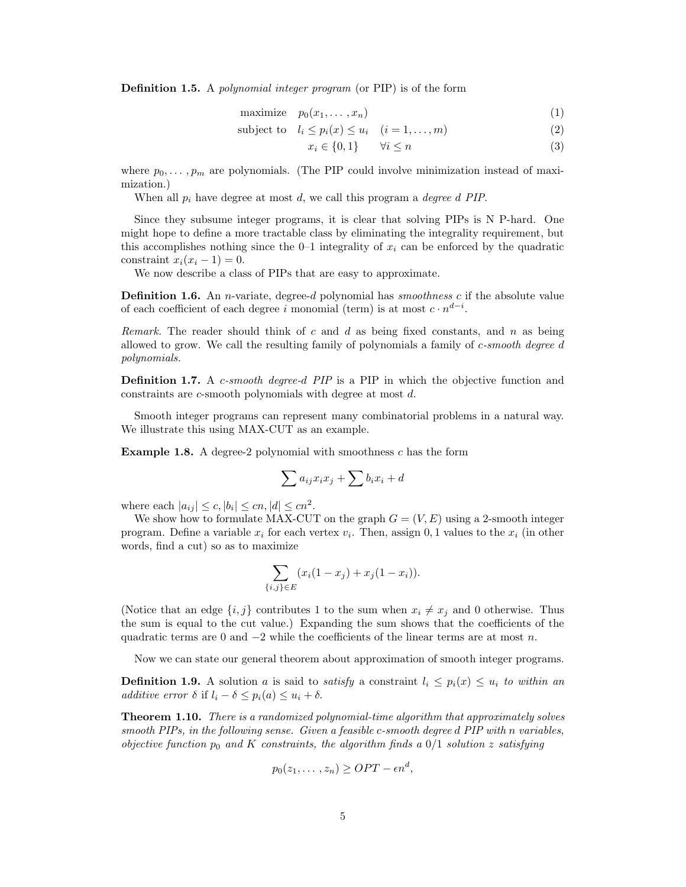**Definition 1.5.** A *polynomial integer program* (or PIP) is of the form

$$
\text{maximize} \quad p_0(x_1, \dots, x_n) \tag{1}
$$

subject to  $l_i \leq p_i(x) \leq u_i$   $(i = 1, \ldots, m)$  (2)

$$
x_i \in \{0, 1\} \qquad \forall i \le n \tag{3}
$$

where  $p_0, \ldots, p_m$  are polynomials. (The PIP could involve minimization instead of maximization.)

When all  $p_i$  have degree at most d, we call this program a *degree d PIP*.

Since they subsume integer programs, it is clear that solving PIPs is N P-hard. One might hope to define a more tractable class by eliminating the integrality requirement, but this accomplishes nothing since the  $0-1$  integrality of  $x_i$  can be enforced by the quadratic constraint  $x_i(x_i - 1) = 0$ .

We now describe a class of PIPs that are easy to approximate.

**Definition 1.6.** An *n*-variate, degree-d polynomial has *smoothness* c if the absolute value of each coefficient of each degree i monomial (term) is at most  $c \cdot n^{d-i}$ .

Remark. The reader should think of c and d as being fixed constants, and n as being allowed to grow. We call the resulting family of polynomials a family of  $c\text{-}smooth\ degree\ d$ polynomials.

**Definition 1.7.** A *c*-smooth degree-d PIP is a PIP in which the objective function and constraints are c-smooth polynomials with degree at most d.

Smooth integer programs can represent many combinatorial problems in a natural way. We illustrate this using MAX-CUT as an example.

Example 1.8. A degree-2 polynomial with smoothness c has the form

$$
\sum a_{ij}x_ix_j + \sum b_ix_i + d
$$

where each  $|a_{ij}| \leq c, |b_i| \leq cn, |d| \leq cn^2$ .

We show how to formulate MAX-CUT on the graph  $G = (V, E)$  using a 2-smooth integer program. Define a variable  $x_i$  for each vertex  $v_i$ . Then, assign 0, 1 values to the  $x_i$  (in other words, find a cut) so as to maximize

$$
\sum_{\{i,j\} \in E} (x_i(1-x_j) + x_j(1-x_i)).
$$

(Notice that an edge  $\{i, j\}$  contributes 1 to the sum when  $x_i \neq x_j$  and 0 otherwise. Thus the sum is equal to the cut value.) Expanding the sum shows that the coefficients of the quadratic terms are 0 and  $-2$  while the coefficients of the linear terms are at most n.

Now we can state our general theorem about approximation of smooth integer programs.

**Definition 1.9.** A solution a is said to *satisfy* a constraint  $l_i \leq p_i(x) \leq u_i$  to within an additive error  $\delta$  if  $l_i - \delta \leq p_i(a) \leq u_i + \delta$ .

**Theorem 1.10.** There is a randomized polynomial-time algorithm that approximately solves smooth PIPs, in the following sense. Given a feasible c-smooth degree d PIP with n variables, objective function  $p_0$  and K constraints, the algorithm finds a  $0/1$  solution z satisfying

$$
p_0(z_1,\ldots,z_n)\geq OPT - \epsilon n^d,
$$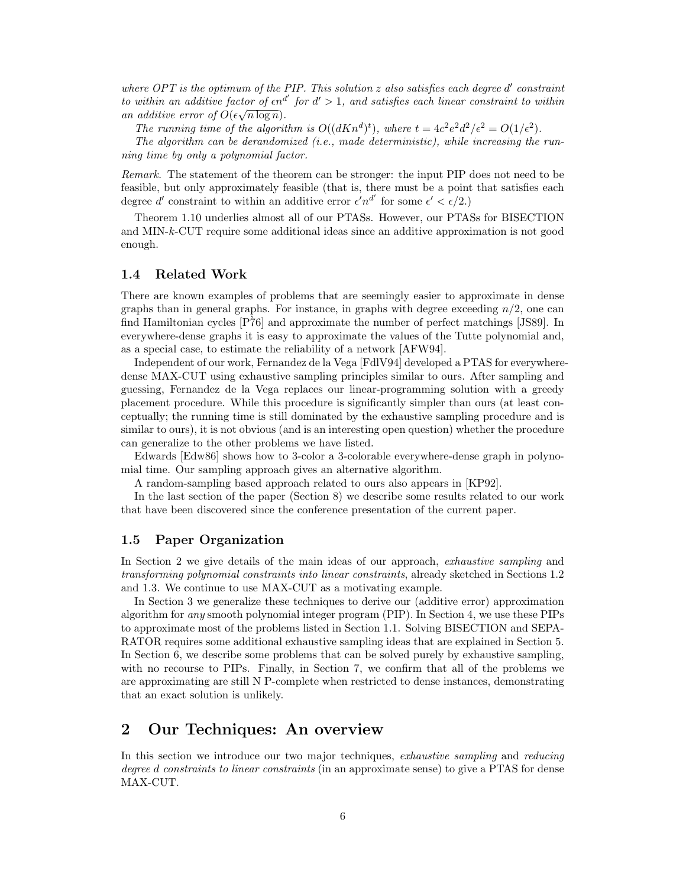where  $OPT$  is the optimum of the PIP. This solution  $z$  also satisfies each degree  $d'$  constraint to within an additive factor of  $\epsilon n^{d'}$  for  $d' > 1$ , and satisfies each linear constraint to within an additive error of  $O(\epsilon \sqrt{n \log n})$ .

The running time of the algorithm is  $O((dKn^d)^t)$ , where  $t = 4c^2e^2d^2/\epsilon^2 = O(1/\epsilon^2)$ .

The algorithm can be derandomized (i.e., made deterministic), while increasing the running time by only a polynomial factor.

Remark. The statement of the theorem can be stronger: the input PIP does not need to be feasible, but only approximately feasible (that is, there must be a point that satisfies each degree d' constraint to within an additive error  $\epsilon' n^{d'}$  for some  $\epsilon' < \epsilon/2$ .)

Theorem 1.10 underlies almost all of our PTASs. However, our PTASs for BISECTION and MIN-k-CUT require some additional ideas since an additive approximation is not good enough.

#### 1.4 Related Work

There are known examples of problems that are seemingly easier to approximate in dense graphs than in general graphs. For instance, in graphs with degree exceeding  $n/2$ , one can find Hamiltonian cycles  $[\overline{P76}]$  and approximate the number of perfect matchings [JS89]. In everywhere-dense graphs it is easy to approximate the values of the Tutte polynomial and, as a special case, to estimate the reliability of a network [AFW94].

Independent of our work, Fernandez de la Vega [FdlV94] developed a PTAS for everywheredense MAX-CUT using exhaustive sampling principles similar to ours. After sampling and guessing, Fernandez de la Vega replaces our linear-programming solution with a greedy placement procedure. While this procedure is significantly simpler than ours (at least conceptually; the running time is still dominated by the exhaustive sampling procedure and is similar to ours), it is not obvious (and is an interesting open question) whether the procedure can generalize to the other problems we have listed.

Edwards [Edw86] shows how to 3-color a 3-colorable everywhere-dense graph in polynomial time. Our sampling approach gives an alternative algorithm.

A random-sampling based approach related to ours also appears in [KP92].

In the last section of the paper (Section 8) we describe some results related to our work that have been discovered since the conference presentation of the current paper.

#### 1.5 Paper Organization

In Section 2 we give details of the main ideas of our approach, exhaustive sampling and transforming polynomial constraints into linear constraints, already sketched in Sections 1.2 and 1.3. We continue to use MAX-CUT as a motivating example.

In Section 3 we generalize these techniques to derive our (additive error) approximation algorithm for any smooth polynomial integer program (PIP). In Section 4, we use these PIPs to approximate most of the problems listed in Section 1.1. Solving BISECTION and SEPA-RATOR requires some additional exhaustive sampling ideas that are explained in Section 5. In Section 6, we describe some problems that can be solved purely by exhaustive sampling, with no recourse to PIPs. Finally, in Section 7, we confirm that all of the problems we are approximating are still N P-complete when restricted to dense instances, demonstrating that an exact solution is unlikely.

# 2 Our Techniques: An overview

In this section we introduce our two major techniques, exhaustive sampling and reducing degree d constraints to linear constraints (in an approximate sense) to give a PTAS for dense MAX-CUT.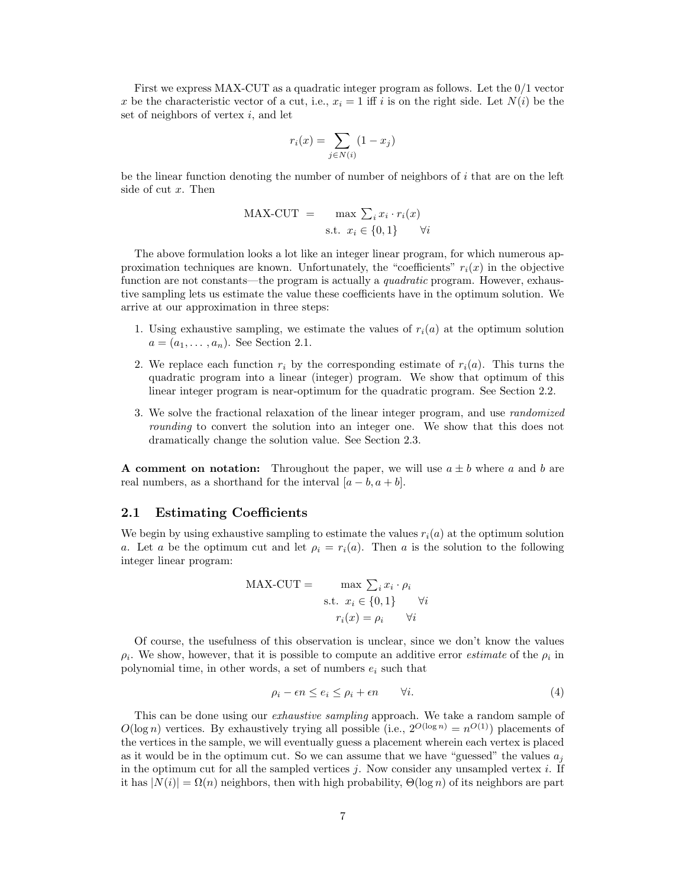First we express MAX-CUT as a quadratic integer program as follows. Let the 0/1 vector x be the characteristic vector of a cut, i.e.,  $x_i = 1$  iff i is on the right side. Let  $N(i)$  be the set of neighbors of vertex  $i$ , and let

$$
r_i(x) = \sum_{j \in N(i)} (1 - x_j)
$$

be the linear function denoting the number of number of neighbors of  $i$  that are on the left side of cut x. Then

$$
\begin{aligned} \text{MAX-CUT} \quad &= \quad \max \, \sum_i x_i \cdot r_i(x) \\ \text{s.t.} \quad x_i \in \{0, 1\} \qquad \forall i \end{aligned}
$$

The above formulation looks a lot like an integer linear program, for which numerous approximation techniques are known. Unfortunately, the "coefficients"  $r_i(x)$  in the objective function are not constants—the program is actually a *quadratic* program. However, exhaustive sampling lets us estimate the value these coefficients have in the optimum solution. We arrive at our approximation in three steps:

- 1. Using exhaustive sampling, we estimate the values of  $r_i(a)$  at the optimum solution  $a = (a_1, \ldots, a_n)$ . See Section 2.1.
- 2. We replace each function  $r_i$  by the corresponding estimate of  $r_i(a)$ . This turns the quadratic program into a linear (integer) program. We show that optimum of this linear integer program is near-optimum for the quadratic program. See Section 2.2.
- 3. We solve the fractional relaxation of the linear integer program, and use *randomized* rounding to convert the solution into an integer one. We show that this does not dramatically change the solution value. See Section 2.3.

A comment on notation: Throughout the paper, we will use  $a \pm b$  where a and b are real numbers, as a shorthand for the interval  $[a - b, a + b]$ .

### 2.1 Estimating Coefficients

We begin by using exhaustive sampling to estimate the values  $r_i(a)$  at the optimum solution a. Let a be the optimum cut and let  $\rho_i = r_i(a)$ . Then a is the solution to the following integer linear program:

MAX-CUT = 
$$
\max \sum_{i} x_{i} \cdot \rho_{i}
$$
  
s.t.  $x_{i} \in \{0, 1\}$   $\forall i$   
 $r_{i}(x) = \rho_{i}$   $\forall i$ 

Of course, the usefulness of this observation is unclear, since we don't know the values  $\rho_i$ . We show, however, that it is possible to compute an additive error *estimate* of the  $\rho_i$  in polynomial time, in other words, a set of numbers  $e_i$  such that

$$
\rho_i - \epsilon n \le e_i \le \rho_i + \epsilon n \qquad \forall i. \tag{4}
$$

This can be done using our *exhaustive sampling* approach. We take a random sample of  $O(\log n)$  vertices. By exhaustively trying all possible (i.e.,  $2^{O(\log n)} = n^{O(1)}$ ) placements of the vertices in the sample, we will eventually guess a placement wherein each vertex is placed as it would be in the optimum cut. So we can assume that we have "guessed" the values  $a_i$ in the optimum cut for all the sampled vertices  $j$ . Now consider any unsampled vertex  $i$ . If it has  $|N(i)| = \Omega(n)$  neighbors, then with high probability,  $\Theta(\log n)$  of its neighbors are part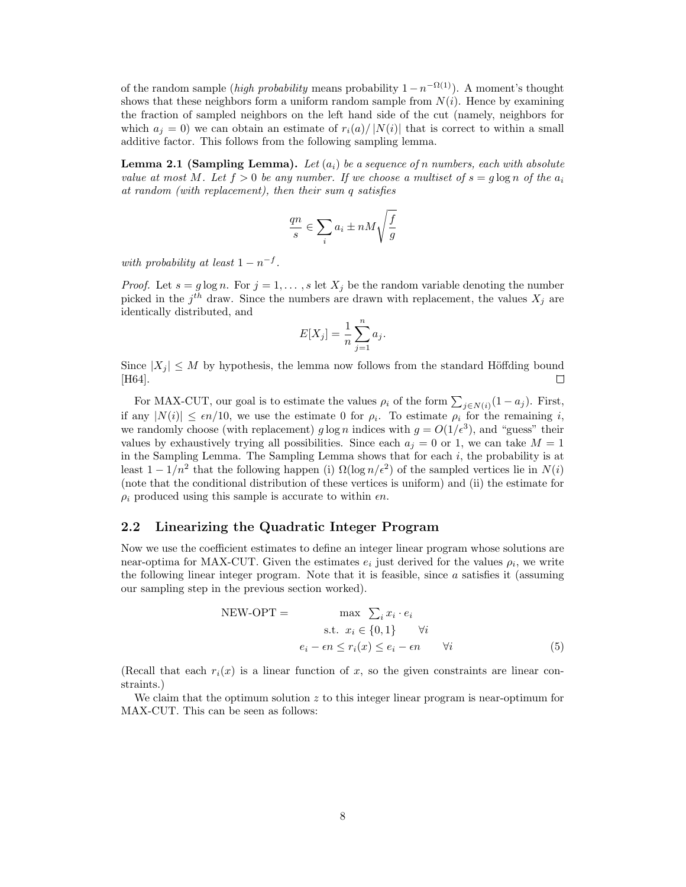of the random sample (high probability means probability  $1 - n^{-\Omega(1)}$ ). A moment's thought shows that these neighbors form a uniform random sample from  $N(i)$ . Hence by examining the fraction of sampled neighbors on the left hand side of the cut (namely, neighbors for which  $a_i = 0$ ) we can obtain an estimate of  $r_i(a)/|N(i)|$  that is correct to within a small additive factor. This follows from the following sampling lemma.

**Lemma 2.1 (Sampling Lemma).** Let  $(a_i)$  be a sequence of n numbers, each with absolute value at most M. Let  $f > 0$  be any number. If we choose a multiset of  $s = g \log n$  of the  $a_i$ at random (with replacement), then their sum q satisfies

$$
\frac{qn}{s}\in \sum_i a_i\pm nM\sqrt{\frac{f}{g}}
$$

with probability at least  $1 - n^{-f}$ .

*Proof.* Let  $s = g \log n$ . For  $j = 1, ..., s$  let  $X_j$  be the random variable denoting the number picked in the  $j<sup>th</sup>$  draw. Since the numbers are drawn with replacement, the values  $X_j$  are identically distributed, and

$$
E[X_j] = \frac{1}{n} \sum_{j=1}^n a_j.
$$

Since  $|X_j| \leq M$  by hypothesis, the lemma now follows from the standard Höffding bound [H64] [H64].

For MAX-CUT, our goal is to estimate the values  $\rho_i$  of the form  $\sum_{j \in N(i)} (1 - a_j)$ . First, if any  $|N(i)| \leq \epsilon n/10$ , we use the estimate 0 for  $\rho_i$ . To estimate  $\rho_i$  for the remaining i, we randomly choose (with replacement) g log n indices with  $g = O(1/\epsilon^3)$ , and "guess" their values by exhaustively trying all possibilities. Since each  $a_j = 0$  or 1, we can take  $M = 1$ in the Sampling Lemma. The Sampling Lemma shows that for each i, the probability is at least  $1 - 1/n^2$  that the following happen (i)  $\Omega(\log n/\epsilon^2)$  of the sampled vertices lie in  $N(i)$ (note that the conditional distribution of these vertices is uniform) and (ii) the estimate for  $\rho_i$  produced using this sample is accurate to within  $\epsilon n$ .

### 2.2 Linearizing the Quadratic Integer Program

Now we use the coefficient estimates to define an integer linear program whose solutions are near-optima for MAX-CUT. Given the estimates  $e_i$  just derived for the values  $\rho_i$ , we write the following linear integer program. Note that it is feasible, since  $a$  satisfies it (assuming our sampling step in the previous section worked).

NEW-OPT = 
$$
\max \sum_{i} x_{i} \cdot e_{i}
$$
  
s.t.  $x_{i} \in \{0, 1\} \quad \forall i$   
 $e_{i} - \epsilon n \le r_{i}(x) \le e_{i} - \epsilon n \quad \forall i$  (5)

(Recall that each  $r_i(x)$  is a linear function of x, so the given constraints are linear constraints.)

We claim that the optimum solution  $z$  to this integer linear program is near-optimum for MAX-CUT. This can be seen as follows: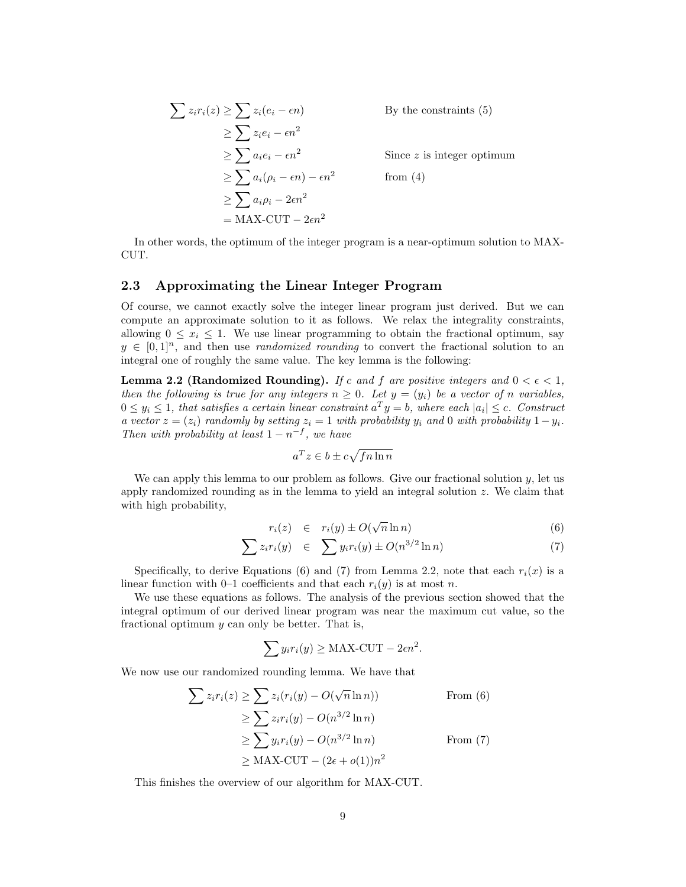$$
\sum z_i r_i(z) \ge \sum z_i (e_i - \epsilon n)
$$
By the constraints (5)  
\n
$$
\ge \sum z_i e_i - \epsilon n^2
$$
  
\n
$$
\ge \sum a_i e_i - \epsilon n^2
$$
Since z is integer optimum  
\n
$$
\ge \sum a_i (\rho_i - \epsilon n) - \epsilon n^2
$$
from (4)  
\n
$$
\ge \sum a_i \rho_i - 2\epsilon n^2
$$
  
\n
$$
= MAX-CUT - 2\epsilon n^2
$$

In other words, the optimum of the integer program is a near-optimum solution to MAX-CUT.

### 2.3 Approximating the Linear Integer Program

Of course, we cannot exactly solve the integer linear program just derived. But we can compute an approximate solution to it as follows. We relax the integrality constraints, allowing  $0 \leq x_i \leq 1$ . We use linear programming to obtain the fractional optimum, say  $y \in [0,1]^n$ , and then use *randomized rounding* to convert the fractional solution to an integral one of roughly the same value. The key lemma is the following:

**Lemma 2.2 (Randomized Rounding).** If c and f are positive integers and  $0 < \epsilon < 1$ , then the following is true for any integers  $n \geq 0$ . Let  $y = (y_i)$  be a vector of n variables,  $0 \leq y_i \leq 1$ , that satisfies a certain linear constraint  $a^T y = b$ , where each  $|a_i| \leq c$ . Construct a vector  $z = (z_i)$  randomly by setting  $z_i = 1$  with probability y<sub>i</sub> and 0 with probability  $1 - y_i$ . Then with probability at least  $1 - n^{-f}$ , we have

$$
a^T z \in b \pm c\sqrt{fn\ln n}
$$

We can apply this lemma to our problem as follows. Give our fractional solution  $y$ , let us apply randomized rounding as in the lemma to yield an integral solution z. We claim that with high probability,

$$
r_i(z) \in r_i(y) \pm O(\sqrt{n} \ln n) \tag{6}
$$

$$
\sum z_i r_i(y) \quad \in \quad \sum y_i r_i(y) \pm O(n^{3/2} \ln n) \tag{7}
$$

Specifically, to derive Equations (6) and (7) from Lemma 2.2, note that each  $r_i(x)$  is a linear function with 0–1 coefficients and that each  $r_i(y)$  is at most n.

We use these equations as follows. The analysis of the previous section showed that the integral optimum of our derived linear program was near the maximum cut value, so the fractional optimum y can only be better. That is,

$$
\sum y_i r_i(y) \ge \text{MAX-CUT} - 2\epsilon n^2.
$$

We now use our randomized rounding lemma. We have that

$$
\sum z_i r_i(z) \ge \sum z_i (r_i(y) - O(\sqrt{n} \ln n))
$$
 From (6)  
\n
$$
\ge \sum z_i r_i(y) - O(n^{3/2} \ln n)
$$
  
\n
$$
\ge \sum y_i r_i(y) - O(n^{3/2} \ln n)
$$
 From (7)  
\n
$$
\ge \text{MAX-CUT} - (2\epsilon + o(1))n^2
$$

This finishes the overview of our algorithm for MAX-CUT.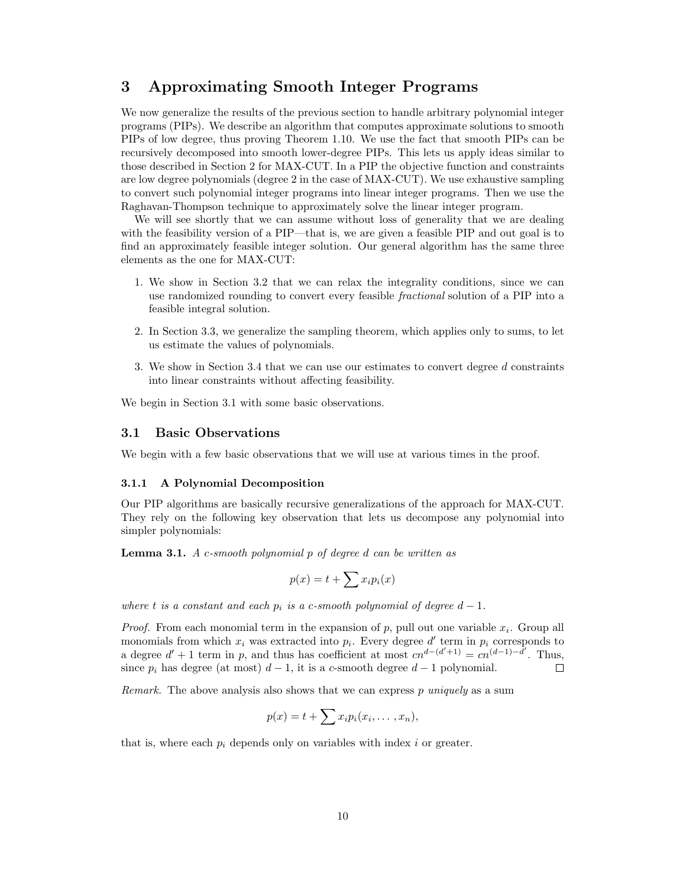# 3 Approximating Smooth Integer Programs

We now generalize the results of the previous section to handle arbitrary polynomial integer programs (PIPs). We describe an algorithm that computes approximate solutions to smooth PIPs of low degree, thus proving Theorem 1.10. We use the fact that smooth PIPs can be recursively decomposed into smooth lower-degree PIPs. This lets us apply ideas similar to those described in Section 2 for MAX-CUT. In a PIP the objective function and constraints are low degree polynomials (degree 2 in the case of MAX-CUT). We use exhaustive sampling to convert such polynomial integer programs into linear integer programs. Then we use the Raghavan-Thompson technique to approximately solve the linear integer program.

We will see shortly that we can assume without loss of generality that we are dealing with the feasibility version of a PIP—that is, we are given a feasible PIP and out goal is to find an approximately feasible integer solution. Our general algorithm has the same three elements as the one for MAX-CUT:

- 1. We show in Section 3.2 that we can relax the integrality conditions, since we can use randomized rounding to convert every feasible fractional solution of a PIP into a feasible integral solution.
- 2. In Section 3.3, we generalize the sampling theorem, which applies only to sums, to let us estimate the values of polynomials.
- 3. We show in Section 3.4 that we can use our estimates to convert degree d constraints into linear constraints without affecting feasibility.

We begin in Section 3.1 with some basic observations.

### 3.1 Basic Observations

We begin with a few basic observations that we will use at various times in the proof.

#### 3.1.1 A Polynomial Decomposition

Our PIP algorithms are basically recursive generalizations of the approach for MAX-CUT. They rely on the following key observation that lets us decompose any polynomial into simpler polynomials:

**Lemma 3.1.** A c-smooth polynomial  $p$  of degree  $d$  can be written as

$$
p(x) = t + \sum x_i p_i(x)
$$

where t is a constant and each  $p_i$  is a c-smooth polynomial of degree  $d-1$ .

*Proof.* From each monomial term in the expansion of  $p$ , pull out one variable  $x_i$ . Group all monomials from which  $x_i$  was extracted into  $p_i$ . Every degree d' term in  $p_i$  corresponds to a degree  $d' + 1$  term in p, and thus has coefficient at most  $cn^{d-(d'+1)} = cn^{(d-1)-d'}$ . Thus, since  $p_i$  has degree (at most)  $d-1$ , it is a c-smooth degree  $d-1$  polynomial. П

*Remark.* The above analysis also shows that we can express  $p$  uniquely as a sum

$$
p(x) = t + \sum x_i p_i(x_i, \ldots, x_n),
$$

that is, where each  $p_i$  depends only on variables with index i or greater.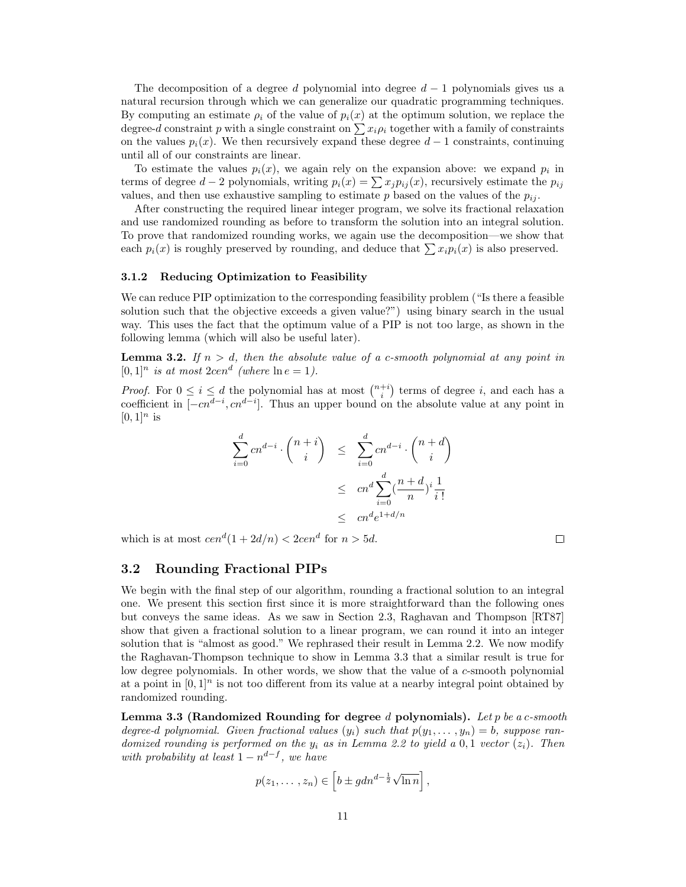The decomposition of a degree d polynomial into degree  $d-1$  polynomials gives us a natural recursion through which we can generalize our quadratic programming techniques. By computing an estimate  $\rho_i$  of the value of  $p_i(x)$  at the optimum solution, we replace the degree-d constraint p with a single constraint on  $\sum x_i \rho_i$  together with a family of constraints on the values  $p_i(x)$ . We then recursively expand these degree  $d-1$  constraints, continuing until all of our constraints are linear.

To estimate the values  $p_i(x)$ , we again rely on the expansion above: we expand  $p_i$  in terms of degree  $d-2$  polynomials, writing  $p_i(x) = \sum x_j p_{ij}(x)$ , recursively estimate the  $p_{ij}$ values, and then use exhaustive sampling to estimate  $p$  based on the values of the  $p_{ij}$ .

After constructing the required linear integer program, we solve its fractional relaxation and use randomized rounding as before to transform the solution into an integral solution. To prove that randomized rounding works, we again use the decomposition—we show that each  $p_i(x)$  is roughly preserved by rounding, and deduce that  $\sum x_i p_i(x)$  is also preserved.

#### 3.1.2 Reducing Optimization to Feasibility

We can reduce PIP optimization to the corresponding feasibility problem ("Is there a feasible solution such that the objective exceeds a given value?") using binary search in the usual way. This uses the fact that the optimum value of a PIP is not too large, as shown in the following lemma (which will also be useful later).

**Lemma 3.2.** If  $n > d$ , then the absolute value of a c-smooth polynomial at any point in  $[0,1]^n$  is at most  $2cen^d$  (where  $\ln e = 1$ ).

*Proof.* For  $0 \leq i \leq d$  the polynomial has at most  $\binom{n+i}{i}$  terms of degree i, and each has a coefficient in  $[-cn^{d-i}, cn^{d-i}]$ . Thus an upper bound on the absolute value at any point in  $[0, 1]$ <sup>n</sup> is

$$
\sum_{i=0}^{d} cn^{d-i} \cdot \binom{n+i}{i} \leq \sum_{i=0}^{d} cn^{d-i} \cdot \binom{n+d}{i}
$$

$$
\leq cn^{d} \sum_{i=0}^{d} \frac{\binom{n+d}{n}}{n}^{i} \frac{1}{i!}
$$

$$
\leq cn^{d} e^{1+d/n}
$$

which is at most  $cen<sup>d</sup>(1 + 2d/n) < 2cen<sup>d</sup>$  for  $n > 5d$ .

#### 3.2 Rounding Fractional PIPs

We begin with the final step of our algorithm, rounding a fractional solution to an integral one. We present this section first since it is more straightforward than the following ones but conveys the same ideas. As we saw in Section 2.3, Raghavan and Thompson [RT87] show that given a fractional solution to a linear program, we can round it into an integer solution that is "almost as good." We rephrased their result in Lemma 2.2. We now modify the Raghavan-Thompson technique to show in Lemma 3.3 that a similar result is true for low degree polynomials. In other words, we show that the value of a c-smooth polynomial at a point in  $[0, 1]^n$  is not too different from its value at a nearby integral point obtained by randomized rounding.

Lemma 3.3 (Randomized Rounding for degree d polynomials). Let p be a c-smooth degree-d polynomial. Given fractional values  $(y_i)$  such that  $p(y_1, \ldots, y_n) = b$ , suppose randomized rounding is performed on the  $y_i$  as in Lemma 2.2 to yield a 0,1 vector  $(z_i)$ . Then with probability at least  $1 - n^{d-f}$ , we have

$$
p(z_1,..., z_n) \in \left[b \pm gdn^{d-\frac{1}{2}}\sqrt{\ln n}\right],
$$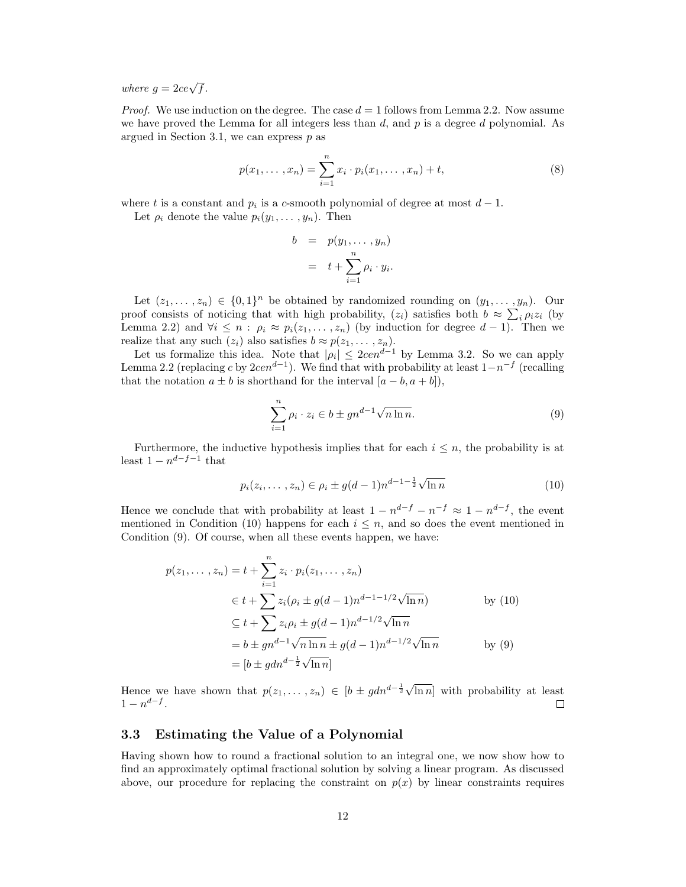where  $g = 2ce\sqrt{f}$ .

*Proof.* We use induction on the degree. The case  $d = 1$  follows from Lemma 2.2. Now assume we have proved the Lemma for all integers less than  $d$ , and  $p$  is a degree  $d$  polynomial. As argued in Section 3.1, we can express  $p$  as

$$
p(x_1, ..., x_n) = \sum_{i=1}^n x_i \cdot p_i(x_1, ..., x_n) + t,
$$
\n(8)

where t is a constant and  $p_i$  is a c-smooth polynomial of degree at most  $d-1$ .

Let  $\rho_i$  denote the value  $p_i(y_1, \ldots, y_n)$ . Then

$$
b = p(y_1, \dots, y_n)
$$
  
=  $t + \sum_{i=1}^n \rho_i \cdot y_i$ .

Let  $(z_1, \ldots, z_n) \in \{0,1\}^n$  be obtained by randomized rounding on  $(y_1, \ldots, y_n)$ . Our proof consists of noticing that with high probability,  $(z_i)$  satisfies both  $b \approx \sum_i \rho_i z_i$  (by Lemma 2.2) and  $\forall i \leq n : \rho_i \approx p_i(z_1, \ldots, z_n)$  (by induction for degree  $d-1$ ). Then we realize that any such  $(z_i)$  also satisfies  $b \approx p(z_1, \ldots, z_n)$ .

Let us formalize this idea. Note that  $|\rho_i| \leq 2\alpha n^{d-1}$  by Lemma 3.2. So we can apply Lemma 2.2 (replacing c by  $2cen^{d-1}$ ). We find that with probability at least  $1-n^{-f}$  (recalling that the notation  $a \pm b$  is shorthand for the interval  $[a - b, a + b]$ ,

$$
\sum_{i=1}^{n} \rho_i \cdot z_i \in b \pm gn^{d-1} \sqrt{n \ln n}.
$$
\n(9)

Furthermore, the inductive hypothesis implies that for each  $i \leq n$ , the probability is at least  $1 - n^{d-f-1}$  that

$$
p_i(z_i, ..., z_n) \in \rho_i \pm g(d-1)n^{d-1-\frac{1}{2}}\sqrt{\ln n}
$$
 (10)

Hence we conclude that with probability at least  $1 - n^{d-f} - n^{-f} \approx 1 - n^{d-f}$ , the event mentioned in Condition (10) happens for each  $i \leq n$ , and so does the event mentioned in Condition (9). Of course, when all these events happen, we have:

$$
p(z_1, ..., z_n) = t + \sum_{i=1}^n z_i \cdot p_i(z_1, ..., z_n)
$$
  
\n
$$
\in t + \sum_{i=1}^n z_i (\rho_i \pm g(d-1)n^{d-1-1/2}\sqrt{\ln n})
$$
 by (10)  
\n
$$
\subseteq t + \sum_{i=1}^n z_i \rho_i \pm g(d-1)n^{d-1/2}\sqrt{\ln n}
$$
  
\n
$$
= b \pm gn^{d-1}\sqrt{n \ln n} \pm g(d-1)n^{d-1/2}\sqrt{\ln n}
$$
 by (9)  
\n
$$
= [b \pm gdn^{d-\frac{1}{2}}\sqrt{\ln n}]
$$

Hence we have shown that  $p(z_1, \ldots, z_n) \in [b \pm \text{g} dn^{d-\frac{1}{2}}\sqrt{\ln n}]$  with probability at least  $1 - n^{d-f}$ .  $\Box$ 

#### 3.3 Estimating the Value of a Polynomial

Having shown how to round a fractional solution to an integral one, we now show how to find an approximately optimal fractional solution by solving a linear program. As discussed above, our procedure for replacing the constraint on  $p(x)$  by linear constraints requires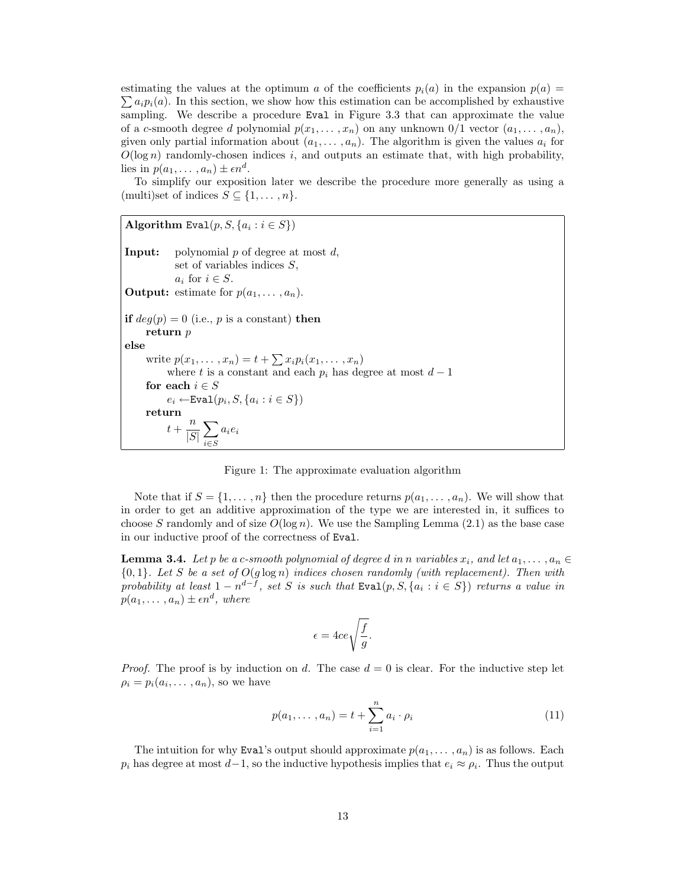estimating the values at the optimum a of the coefficients  $p_i(a)$  in the expansion  $p(a)$  =  $\sum a_i p_i(a)$ . In this section, we show how this estimation can be accomplished by exhaustive sampling. We describe a procedure Eval in Figure 3.3 that can approximate the value of a c-smooth degree d polynomial  $p(x_1, \ldots, x_n)$  on any unknown  $0/1$  vector  $(a_1, \ldots, a_n)$ , given only partial information about  $(a_1, \ldots, a_n)$ . The algorithm is given the values  $a_i$  for  $O(\log n)$  randomly-chosen indices i, and outputs an estimate that, with high probability, lies in  $p(a_1, \ldots, a_n) \pm \epsilon n^d$ .

To simplify our exposition later we describe the procedure more generally as using a (multi)set of indices  $S \subseteq \{1, \ldots, n\}.$ 

Algorithm Eval $(p, S, \{a_i : i \in S\})$ **Input:** polynomial  $p$  of degree at most  $d$ , set of variables indices  $S$ ,  $a_i$  for  $i \in S$ . **Output:** estimate for  $p(a_1, \ldots, a_n)$ . if  $deg(p) = 0$  (i.e., p is a constant) then return p else write  $p(x_1,...,x_n) = t + \sum x_i p_i(x_1,...,x_n)$ where t is a constant and each  $p_i$  has degree at most  $d-1$ for each  $i \in S$  $e_i \leftarrow \texttt{Eval}(p_i, S, \{a_i : i \in S\})$ return  $t+\frac{n}{\sqrt{n}}$  $|S|$  $\sum$ i∈S  $a_i e_i$ 

Figure 1: The approximate evaluation algorithm

Note that if  $S = \{1, \ldots, n\}$  then the procedure returns  $p(a_1, \ldots, a_n)$ . We will show that in order to get an additive approximation of the type we are interested in, it suffices to choose S randomly and of size  $O(\log n)$ . We use the Sampling Lemma (2.1) as the base case in our inductive proof of the correctness of Eval.

**Lemma 3.4.** Let p be a c-smooth polynomial of degree d in n variables  $x_i$ , and let  $a_1, \ldots, a_n \in$  ${0, 1}.$  Let S be a set of  $O(g \log n)$  indices chosen randomly (with replacement). Then with probability at least  $1 - n^{d-f}$ , set S is such that  $Eval(p, S, \{a_i : i \in S\})$  returns a value in  $p(a_1, \ldots, a_n) \pm \epsilon n^d$ , where

$$
\epsilon=4ce\sqrt{\frac{f}{g}}.
$$

*Proof.* The proof is by induction on d. The case  $d = 0$  is clear. For the inductive step let  $\rho_i = p_i(a_i, \ldots, a_n)$ , so we have

$$
p(a_1, ..., a_n) = t + \sum_{i=1}^{n} a_i \cdot \rho_i
$$
 (11)

The intuition for why Eval's output should approximate  $p(a_1, \ldots, a_n)$  is as follows. Each  $p_i$  has degree at most  $d-1$ , so the inductive hypothesis implies that  $e_i \approx \rho_i$ . Thus the output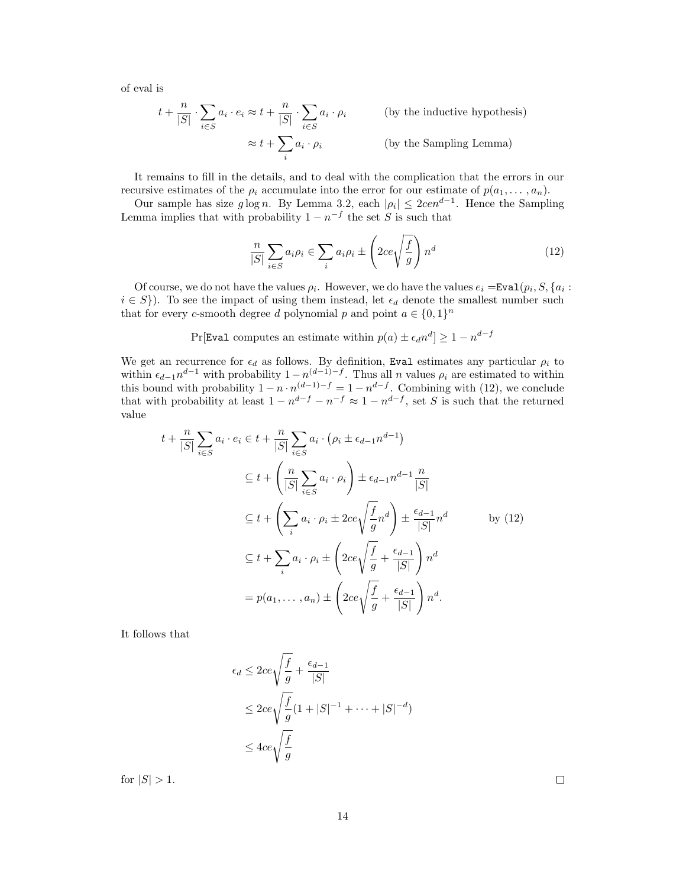of eval is

$$
t + \frac{n}{|S|} \cdot \sum_{i \in S} a_i \cdot e_i \approx t + \frac{n}{|S|} \cdot \sum_{i \in S} a_i \cdot \rho_i
$$
 (by the inductive hypothesis)  

$$
\approx t + \sum_i a_i \cdot \rho_i
$$
 (by the Sampling Lemma)

It remains to fill in the details, and to deal with the complication that the errors in our recursive estimates of the  $\rho_i$  accumulate into the error for our estimate of  $p(a_1, \ldots, a_n)$ .

Our sample has size  $g \log n$ . By Lemma 3.2, each  $|\rho_i| \leq 2c e n^{d-1}$ . Hence the Sampling Lemma implies that with probability  $1 - n^{-f}$  the set S is such that

$$
\frac{n}{|S|} \sum_{i \in S} a_i \rho_i \in \sum_i a_i \rho_i \pm \left(2ce\sqrt{\frac{f}{g}}\right) n^d \tag{12}
$$

Of course, we do not have the values  $\rho_i$ . However, we do have the values  $e_i = \text{Eval}(p_i, S, \{a_i : S\})$  $i \in S$ ). To see the impact of using them instead, let  $\epsilon_d$  denote the smallest number such that for every *c*-smooth degree *d* polynomial *p* and point  $a \in \{0, 1\}^n$ 

Pr[Eval computes an estimate within  $p(a) \pm \epsilon_d n^d$ ]  $\geq 1 - n^{d-f}$ 

We get an recurrence for  $\epsilon_d$  as follows. By definition, Eval estimates any particular  $\rho_i$  to within  $\epsilon_{d-1}n^{d-1}$  with probability  $1-n^{(d-1)-f}$ . Thus all n values  $\rho_i$  are estimated to within this bound with probability  $1 - n \cdot n^{(d-1)-f} = 1 - n^{d-f}$ . Combining with (12), we conclude that with probability at least  $1 - n^{d-f} - n^{-f} \approx 1 - n^{d-f}$ , set S is such that the returned value

$$
t + \frac{n}{|S|} \sum_{i \in S} a_i \cdot e_i \in t + \frac{n}{|S|} \sum_{i \in S} a_i \cdot (\rho_i \pm \epsilon_{d-1} n^{d-1})
$$
  
\n
$$
\subseteq t + \left(\frac{n}{|S|} \sum_{i \in S} a_i \cdot \rho_i\right) \pm \epsilon_{d-1} n^{d-1} \frac{n}{|S|}
$$
  
\n
$$
\subseteq t + \left(\sum_i a_i \cdot \rho_i \pm 2ce \sqrt{\frac{f}{g}} n^d\right) \pm \frac{\epsilon_{d-1}}{|S|} n^d \qquad \text{by (12)}
$$
  
\n
$$
\subseteq t + \sum_i a_i \cdot \rho_i \pm \left(2ce \sqrt{\frac{f}{g}} + \frac{\epsilon_{d-1}}{|S|}\right) n^d
$$
  
\n
$$
= p(a_1, \dots, a_n) \pm \left(2ce \sqrt{\frac{f}{g}} + \frac{\epsilon_{d-1}}{|S|}\right) n^d.
$$

It follows that

$$
\epsilon_d \le 2ce \sqrt{\frac{f}{g}} + \frac{\epsilon_{d-1}}{|S|}
$$
  
\n
$$
\le 2ce \sqrt{\frac{f}{g}} (1 + |S|^{-1} + \dots + |S|^{-d})
$$
  
\n
$$
\le 4ce \sqrt{\frac{f}{g}}
$$

for  $|S| > 1$ .

 $\Box$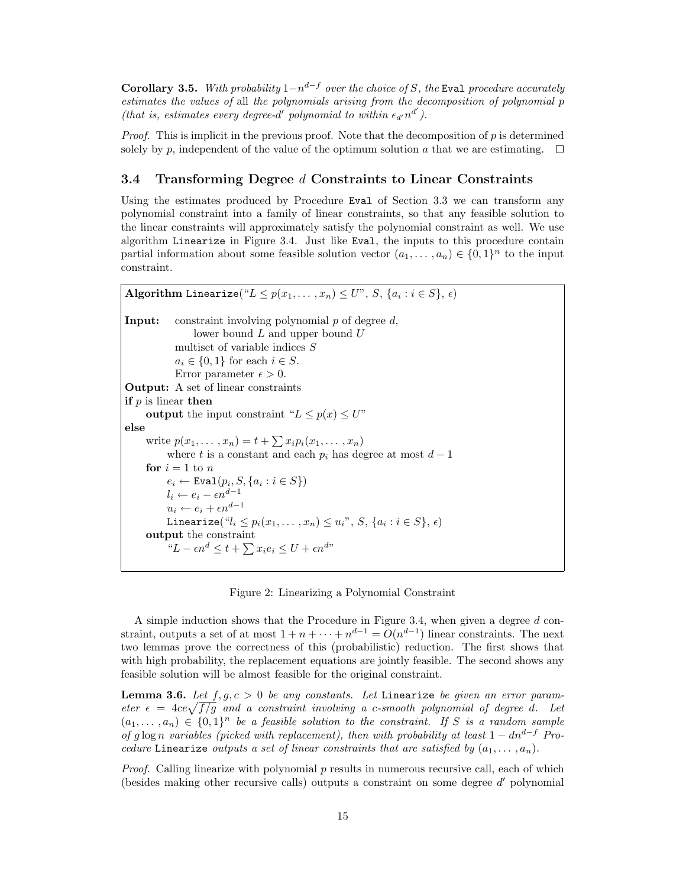**Corollary 3.5.** With probability  $1-n^{d-f}$  over the choice of S, the Eval procedure accurately estimates the values of all the polynomials arising from the decomposition of polynomial p (that is, estimates every degree-d' polynomial to within  $\epsilon_{d'}n^{d'}$ ).

*Proof.* This is implicit in the previous proof. Note that the decomposition of  $p$  is determined solely by p, independent of the value of the optimum solution a that we are estimating.  $\square$ 

### 3.4 Transforming Degree d Constraints to Linear Constraints

Using the estimates produced by Procedure Eval of Section 3.3 we can transform any polynomial constraint into a family of linear constraints, so that any feasible solution to the linear constraints will approximately satisfy the polynomial constraint as well. We use algorithm Linearize in Figure 3.4. Just like Eval, the inputs to this procedure contain partial information about some feasible solution vector  $(a_1, \ldots, a_n) \in \{0,1\}^n$  to the input constraint.

```
Algorithm Linearize("L \leq p(x_1, \ldots, x_n) \leq U", S, \{a_i : i \in S\}, \epsilon)
Input: constraint involving polynomial p of degree d,
                 lower bound L and upper bound Umultiset of variable indices S
             a_i \in \{0,1\} for each i \in S.
             Error parameter \epsilon > 0.
Output: A set of linear constraints
if p is linear then
     output the input constraint "L \leq p(x) \leq U"
else
      write p(x_1,...,x_n) = t + \sum x_i p_i(x_1,...,x_n)where t is a constant and each p_i has degree at most d-1for i = 1 to n
           e_i \leftarrow \texttt{Eval}(p_i, S, \{a_i : i \in S\})l_i \leftarrow e_i - \epsilon n^{d-1}u_i \leftarrow e_i + \epsilon n^{d-1}Linearize("l_i \leq p_i(x_1, \ldots, x_n) \leq u_i", S, \{a_i : i \in S\}, \epsilon)output the constraint
           "L - \epsilon n^d \leq t + \sum x_i e_i \leq U + \epsilon n^{d}"
```
Figure 2: Linearizing a Polynomial Constraint

A simple induction shows that the Procedure in Figure 3.4, when given a degree  $d$  constraint, outputs a set of at most  $1 + n + \cdots + n^{d-1} = O(n^{d-1})$  linear constraints. The next two lemmas prove the correctness of this (probabilistic) reduction. The first shows that with high probability, the replacement equations are jointly feasible. The second shows any feasible solution will be almost feasible for the original constraint.

**Lemma 3.6.** Let  $f, g, c > 0$  be any constants. Let Linearize be given an error parameter  $\epsilon = 4ce\sqrt{f/g}$  and a constraint involving a c-smooth polynomial of degree d. Let  $(a_1, \ldots, a_n) \in \{0,1\}^n$  be a feasible solution to the constraint. If S is a random sample of g log n variables (picked with replacement), then with probability at least  $1 - dn^{d-f}$  Procedure Linearize outputs a set of linear constraints that are satisfied by  $(a_1, \ldots, a_n)$ .

*Proof.* Calling linearize with polynomial  $p$  results in numerous recursive call, each of which (besides making other recursive calls) outputs a constraint on some degree  $d'$  polynomial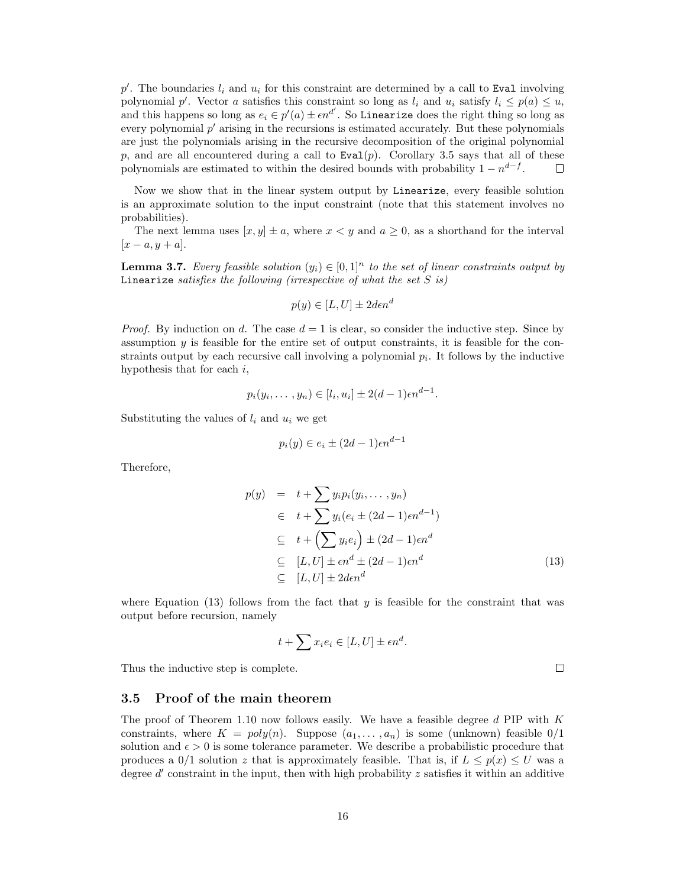$p'$ . The boundaries  $l_i$  and  $u_i$  for this constraint are determined by a call to Eval involving polynomial p'. Vector a satisfies this constraint so long as  $l_i$  and  $u_i$  satisfy  $l_i \leq p(a) \leq u$ , and this happens so long as  $e_i \in p'(a) \pm \epsilon n^{d'}$ . So Linearize does the right thing so long as every polynomial  $p'$  arising in the recursions is estimated accurately. But these polynomials are just the polynomials arising in the recursive decomposition of the original polynomial p, and are all encountered during a call to  $Eval(p)$ . Corollary 3.5 says that all of these polynomials are estimated to within the desired bounds with probability  $1 - n^{d-f}$ . П

Now we show that in the linear system output by Linearize, every feasible solution is an approximate solution to the input constraint (note that this statement involves no probabilities).

The next lemma uses  $[x, y] \pm a$ , where  $x < y$  and  $a \ge 0$ , as a shorthand for the interval  $[x-a, y+a]$ .

**Lemma 3.7.** Every feasible solution  $(y_i) \in [0,1]^n$  to the set of linear constraints output by Linearize satisfies the following (irrespective of what the set  $S$  is)

$$
p(y) \in [L, U] \pm 2\text{den}^d
$$

*Proof.* By induction on d. The case  $d = 1$  is clear, so consider the inductive step. Since by assumption  $y$  is feasible for the entire set of output constraints, it is feasible for the constraints output by each recursive call involving a polynomial  $p_i$ . It follows by the inductive hypothesis that for each  $i$ ,

$$
p_i(y_i,\ldots,y_n) \in [l_i,u_i] \pm 2(d-1)\epsilon n^{d-1}.
$$

Substituting the values of  $l_i$  and  $u_i$  we get

$$
p_i(y) \in e_i \pm (2d - 1)\epsilon n^{d-1}
$$

Therefore,

$$
p(y) = t + \sum y_i p_i (y_i, \dots, y_n)
$$
  
\n
$$
\in t + \sum y_i (e_i \pm (2d - 1)\epsilon n^{d-1})
$$
  
\n
$$
\subseteq t + \left(\sum y_i e_i\right) \pm (2d - 1)\epsilon n^d
$$
  
\n
$$
\subseteq [L, U] \pm \epsilon n^d \pm (2d - 1)\epsilon n^d
$$
  
\n
$$
\subseteq [L, U] \pm 2d\epsilon n^d
$$
\n(13)

where Equation  $(13)$  follows from the fact that y is feasible for the constraint that was output before recursion, namely

$$
t + \sum x_i e_i \in [L, U] \pm \epsilon n^d.
$$

Thus the inductive step is complete.

 $\Box$ 

#### 3.5 Proof of the main theorem

The proof of Theorem 1.10 now follows easily. We have a feasible degree  $d$  PIP with  $K$ constraints, where  $K = poly(n)$ . Suppose  $(a_1, \ldots, a_n)$  is some (unknown) feasible  $0/1$ solution and  $\epsilon > 0$  is some tolerance parameter. We describe a probabilistic procedure that produces a  $0/1$  solution z that is approximately feasible. That is, if  $L \leq p(x) \leq U$  was a degree  $d'$  constraint in the input, then with high probability  $z$  satisfies it within an additive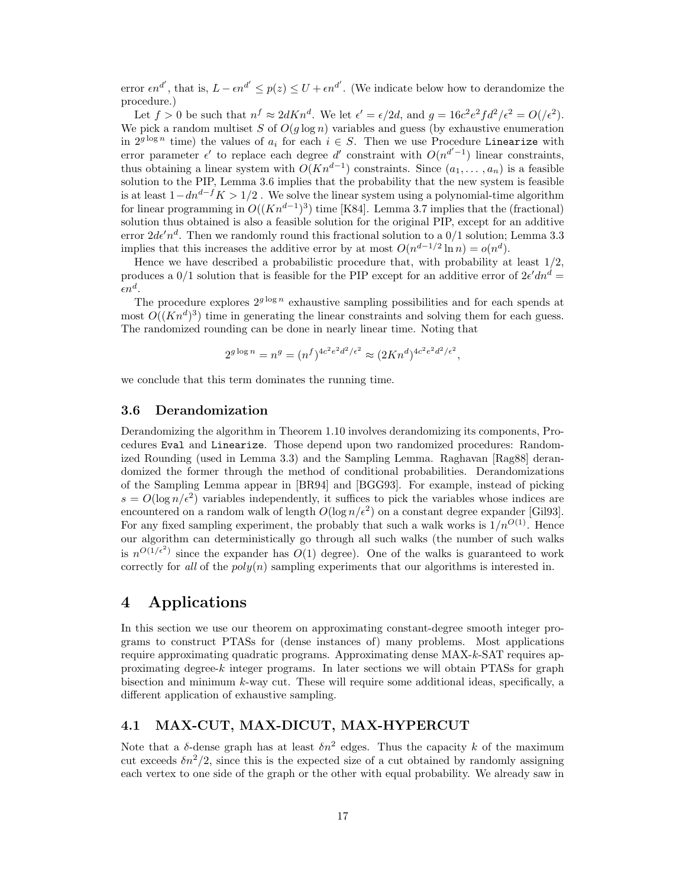error  $\epsilon n^{d'}$ , that is,  $L - \epsilon n^{d'} \le p(z) \le U + \epsilon n^{d'}$ . (We indicate below how to derandomize the procedure.)

Let  $f > 0$  be such that  $n^f \approx 2dKn^d$ . We let  $\epsilon' = \epsilon/2d$ , and  $g = 16c^2e^2fd^2/\epsilon^2 = O(\epsilon^2)$ . We pick a random multiset S of  $O(g \log n)$  variables and guess (by exhaustive enumeration in  $2^{g \log n}$  time) the values of  $a_i$  for each  $i \in S$ . Then we use Procedure Linearize with error parameter  $\epsilon'$  to replace each degree d' constraint with  $O(n^{d'-1})$  linear constraints, thus obtaining a linear system with  $O(Kn^{d-1})$  constraints. Since  $(a_1, \ldots, a_n)$  is a feasible solution to the PIP, Lemma 3.6 implies that the probability that the new system is feasible is at least  $1-dn^{d-f}K > 1/2$ . We solve the linear system using a polynomial-time algorithm for linear programming in  $O((Kn^{d-1})^3)$  time [K84]. Lemma 3.7 implies that the (fractional) solution thus obtained is also a feasible solution for the original PIP, except for an additive error  $2d\epsilon'n^d$ . Then we randomly round this fractional solution to a  $0/1$  solution; Lemma 3.3 implies that this increases the additive error by at most  $O(n^{d-1/2} \ln n) = o(n^d)$ .

Hence we have described a probabilistic procedure that, with probability at least 1/2, produces a  $0/1$  solution that is feasible for the PIP except for an additive error of  $2\epsilon' dn^d =$  $\epsilon n^d.$ 

The procedure explores  $2^{g \log n}$  exhaustive sampling possibilities and for each spends at most  $O((Kn^d)^3)$  time in generating the linear constraints and solving them for each guess. The randomized rounding can be done in nearly linear time. Noting that

$$
2^{g \log n} = n^g = (n^f)^{4c^2 e^2 d^2 / \epsilon^2} \approx (2Kn^d)^{4c^2 e^2 d^2 / \epsilon^2},
$$

we conclude that this term dominates the running time.

#### 3.6 Derandomization

Derandomizing the algorithm in Theorem 1.10 involves derandomizing its components, Procedures Eval and Linearize. Those depend upon two randomized procedures: Randomized Rounding (used in Lemma 3.3) and the Sampling Lemma. Raghavan [Rag88] derandomized the former through the method of conditional probabilities. Derandomizations of the Sampling Lemma appear in [BR94] and [BGG93]. For example, instead of picking  $s = O(\log n/\epsilon^2)$  variables independently, it suffices to pick the variables whose indices are encountered on a random walk of length  $O(\log n/\epsilon^2)$  on a constant degree expander [Gil93]. For any fixed sampling experiment, the probably that such a walk works is  $1/n^{O(1)}$ . Hence our algorithm can deterministically go through all such walks (the number of such walks is  $n^{O(1/\epsilon^2)}$  since the expander has  $O(1)$  degree). One of the walks is guaranteed to work correctly for all of the  $poly(n)$  sampling experiments that our algorithms is interested in.

# 4 Applications

In this section we use our theorem on approximating constant-degree smooth integer programs to construct PTASs for (dense instances of) many problems. Most applications require approximating quadratic programs. Approximating dense MAX-k-SAT requires approximating degree- $k$  integer programs. In later sections we will obtain PTASs for graph bisection and minimum  $k$ -way cut. These will require some additional ideas, specifically, a different application of exhaustive sampling.

# 4.1 MAX-CUT, MAX-DICUT, MAX-HYPERCUT

Note that a  $\delta$ -dense graph has at least  $\delta n^2$  edges. Thus the capacity k of the maximum cut exceeds  $\delta n^2/2$ , since this is the expected size of a cut obtained by randomly assigning each vertex to one side of the graph or the other with equal probability. We already saw in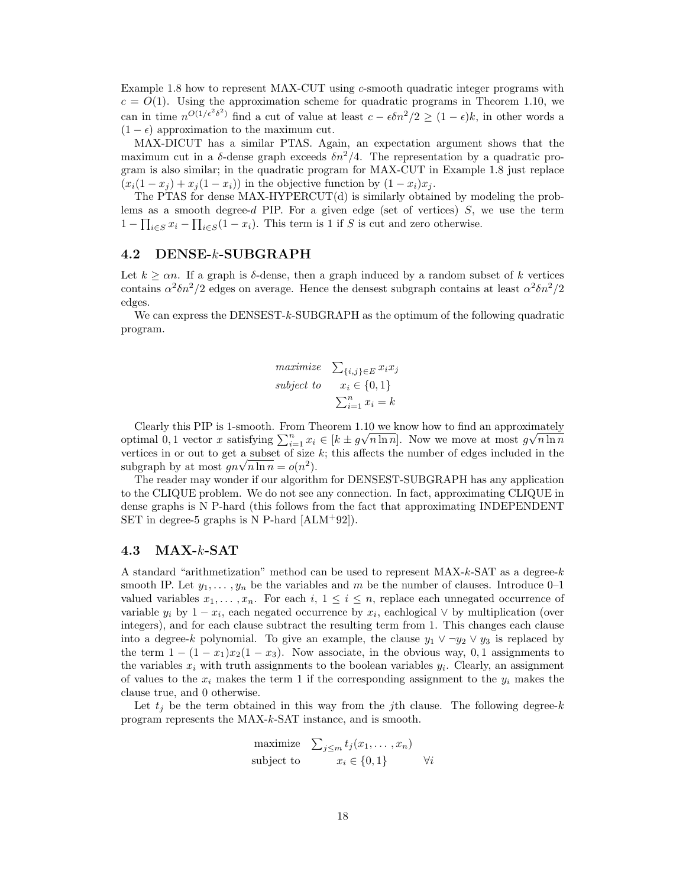Example 1.8 how to represent MAX-CUT using  $c$ -smooth quadratic integer programs with  $c = O(1)$ . Using the approximation scheme for quadratic programs in Theorem 1.10, we can in time  $n^{O(1/\epsilon^2 \delta^2)}$  find a cut of value at least  $c - \epsilon \delta n^2/2 \ge (1 - \epsilon)k$ , in other words a  $(1 - \epsilon)$  approximation to the maximum cut.

MAX-DICUT has a similar PTAS. Again, an expectation argument shows that the maximum cut in a  $\delta$ -dense graph exceeds  $\delta n^2/4$ . The representation by a quadratic program is also similar; in the quadratic program for MAX-CUT in Example 1.8 just replace  $(x_i(1-x_j) + x_j(1-x_i))$  in the objective function by  $(1-x_i)x_j$ .

The PTAS for dense MAX-HYPERCUT(d) is similarly obtained by modeling the problems as a smooth degree- $d$  PIP. For a given edge (set of vertices)  $S$ , we use the term  $1 - \prod_{i \in S} x_i - \prod_{i \in S} (1 - x_i)$ . This term is 1 if S is cut and zero otherwise.

### 4.2 DENSE-k-SUBGRAPH

Let  $k \geq \alpha n$ . If a graph is  $\delta$ -dense, then a graph induced by a random subset of k vertices contains  $\alpha^2 \delta n^2/2$  edges on average. Hence the densest subgraph contains at least  $\alpha^2 \delta n^2/2$ edges.

We can express the DENSEST-k-SUBGRAPH as the optimum of the following quadratic program.

$$
\begin{array}{ll}\n\text{maximize} & \sum_{\{i,j\} \in E} x_i x_j \\
\text{subject to} & x_i \in \{0, 1\} \\
& \sum_{i=1}^n x_i = k\n\end{array}
$$

Clearly this PIP is 1-smooth. From Theorem 1.10 we know how to find an approximately optimal 0, 1 vector x satisfying  $\sum_{i=1}^{n} x_i \in [k \pm g\sqrt{n \ln n}]$ . Now we move at most  $g\sqrt{n \ln n}$ vertices in or out to get a subset of size  $k$ ; this affects the number of edges included in the subgraph by at most  $gn\sqrt{n \ln n} = o(n^2)$ .

The reader may wonder if our algorithm for DENSEST-SUBGRAPH has any application to the CLIQUE problem. We do not see any connection. In fact, approximating CLIQUE in dense graphs is N P-hard (this follows from the fact that approximating INDEPENDENT SET in degree-5 graphs is N P-hard  $[ALM+92]$ .

### 4.3 MAX-k-SAT

A standard "arithmetization" method can be used to represent MAX-k-SAT as a degree-k smooth IP. Let  $y_1, \ldots, y_n$  be the variables and m be the number of clauses. Introduce 0–1 valued variables  $x_1, \ldots, x_n$ . For each  $i, 1 \leq i \leq n$ , replace each unnegated occurrence of variable  $y_i$  by  $1 - x_i$ , each negated occurrence by  $x_i$ , each logical  $\vee$  by multiplication (over integers), and for each clause subtract the resulting term from 1. This changes each clause into a degree-k polynomial. To give an example, the clause  $y_1 \vee \neg y_2 \vee y_3$  is replaced by the term  $1 - (1 - x_1)x_2(1 - x_3)$ . Now associate, in the obvious way, 0,1 assignments to the variables  $x_i$  with truth assignments to the boolean variables  $y_i$ . Clearly, an assignment of values to the  $x_i$  makes the term 1 if the corresponding assignment to the  $y_i$  makes the clause true, and 0 otherwise.

Let  $t_i$  be the term obtained in this way from the jth clause. The following degree-k program represents the MAX-k-SAT instance, and is smooth.

$$
\begin{array}{ll}\text{maximize} & \sum_{j \leq m} t_j(x_1, \dots, x_n) \\ \text{subject to} & x_i \in \{0, 1\} \qquad \forall i \end{array}
$$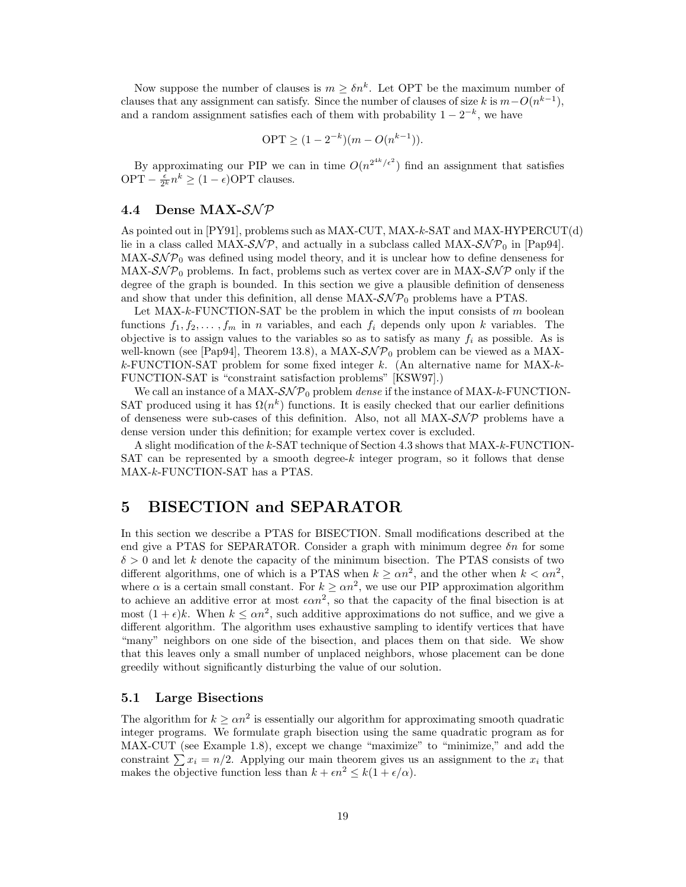Now suppose the number of clauses is  $m \geq \delta n^k$ . Let OPT be the maximum number of clauses that any assignment can satisfy. Since the number of clauses of size k is  $m-O(n^{k-1})$ , and a random assignment satisfies each of them with probability  $1 - 2^{-k}$ , we have

$$
OPT \ge (1 - 2^{-k})(m - O(n^{k-1})).
$$

By approximating our PIP we can in time  $O(n^{2^{4k}/\epsilon^2})$  find an assignment that satisfies OPT  $-\frac{\epsilon}{2^k}n^k \ge (1-\epsilon)$ OPT clauses.

# 4.4 Dense MAX- $\mathcal{SNP}$

As pointed out in [PY91], problems such as MAX-CUT, MAX-k-SAT and MAX-HYPERCUT(d) lie in a class called MAX- $\mathcal{SNP}$ , and actually in a subclass called MAX- $\mathcal{SNP}_0$  in [Pap94].  $MAX-SNP<sub>0</sub>$  was defined using model theory, and it is unclear how to define denseness for MAX- $\mathcal{SNP}_0$  problems. In fact, problems such as vertex cover are in MAX- $\mathcal{SNP}$  only if the degree of the graph is bounded. In this section we give a plausible definition of denseness and show that under this definition, all dense  $MAX\text{-}S\mathcal{NP}_0$  problems have a PTAS.

Let  $MAX-k-FUNCTION-SAT$  be the problem in which the input consists of m boolean functions  $f_1, f_2, \ldots, f_m$  in n variables, and each  $f_i$  depends only upon k variables. The objective is to assign values to the variables so as to satisfy as many  $f_i$  as possible. As is well-known (see [Pap94], Theorem 13.8), a MAX- $\mathcal{SNP}_0$  problem can be viewed as a MAX $k$ -FUNCTION-SAT problem for some fixed integer k. (An alternative name for MAX- $k$ -FUNCTION-SAT is "constraint satisfaction problems" [KSW97].)

We call an instance of a MAX- $\mathcal{SNP}_0$  problem *dense* if the instance of MAX-k-FUNCTION-SAT produced using it has  $\Omega(n^k)$  functions. It is easily checked that our earlier definitions of denseness were sub-cases of this definition. Also, not all  $MAX\text{-}S\mathcal{NP}$  problems have a dense version under this definition; for example vertex cover is excluded.

A slight modification of the k-SAT technique of Section 4.3 shows that MAX-k-FUNCTION-SAT can be represented by a smooth degree-k integer program, so it follows that dense MAX-k-FUNCTION-SAT has a PTAS.

# 5 BISECTION and SEPARATOR

In this section we describe a PTAS for BISECTION. Small modifications described at the end give a PTAS for SEPARATOR. Consider a graph with minimum degree  $\delta n$  for some  $\delta > 0$  and let k denote the capacity of the minimum bisection. The PTAS consists of two different algorithms, one of which is a PTAS when  $k \ge \alpha n^2$ , and the other when  $k < \alpha n^2$ , where  $\alpha$  is a certain small constant. For  $k \geq \alpha n^2$ , we use our PIP approximation algorithm to achieve an additive error at most  $\epsilon \alpha n^2$ , so that the capacity of the final bisection is at most  $(1 + \epsilon)k$ . When  $k \leq \alpha n^2$ , such additive approximations do not suffice, and we give a different algorithm. The algorithm uses exhaustive sampling to identify vertices that have "many" neighbors on one side of the bisection, and places them on that side. We show that this leaves only a small number of unplaced neighbors, whose placement can be done greedily without significantly disturbing the value of our solution.

#### 5.1 Large Bisections

The algorithm for  $k \geq \alpha n^2$  is essentially our algorithm for approximating smooth quadratic integer programs. We formulate graph bisection using the same quadratic program as for MAX-CUT (see Example 1.8), except we change "maximize" to "minimize," and add the constraint  $\sum x_i = n/2$ . Applying our main theorem gives us an assignment to the  $x_i$  that makes the objective function less than  $k + \epsilon n^2 \leq k(1 + \epsilon/\alpha)$ .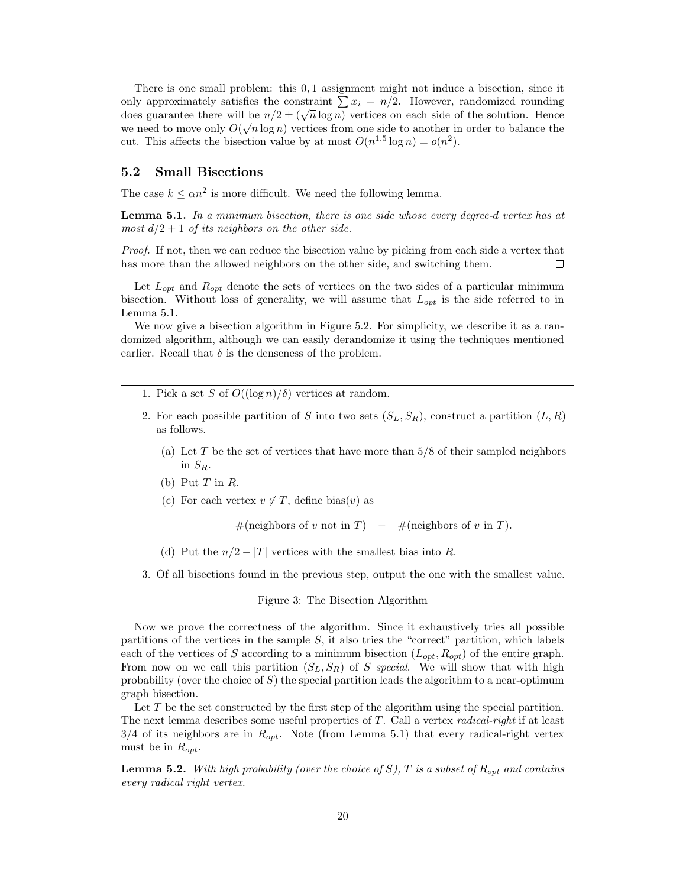There is one small problem: this 0,1 assignment might not induce a bisection, since it only approximately satisfies the constraint  $\sum x_i = n/2$ . However, randomized rounding does guarantee there will be  $n/2 \pm (\sqrt{n} \log n)$  vertices on each side of the solution. Hence we need to move only  $O(\sqrt{n}\log n)$  vertices from one side to another in order to balance the cut. This affects the bisection value by at most  $O(n^{1.5} \log n) = o(n^2)$ .

### 5.2 Small Bisections

The case  $k \le \alpha n^2$  is more difficult. We need the following lemma.

**Lemma 5.1.** In a minimum bisection, there is one side whose every degree-d vertex has at most  $d/2 + 1$  of its neighbors on the other side.

Proof. If not, then we can reduce the bisection value by picking from each side a vertex that has more than the allowed neighbors on the other side, and switching them.  $\Box$ 

Let  $L_{opt}$  and  $R_{opt}$  denote the sets of vertices on the two sides of a particular minimum bisection. Without loss of generality, we will assume that  $L_{opt}$  is the side referred to in Lemma 5.1.

We now give a bisection algorithm in Figure 5.2. For simplicity, we describe it as a randomized algorithm, although we can easily derandomize it using the techniques mentioned earlier. Recall that  $\delta$  is the denseness of the problem.

- 1. Pick a set S of  $O((\log n)/\delta)$  vertices at random.
- 2. For each possible partition of S into two sets  $(S_L, S_R)$ , construct a partition  $(L, R)$ as follows.
	- (a) Let T be the set of vertices that have more than  $5/8$  of their sampled neighbors in  $S_R$ .
	- (b) Put  $T$  in  $R$ .
	- (c) For each vertex  $v \notin T$ , define bias(v) as

#(neighbors of v not in T) – #(neighbors of v in T).

- (d) Put the  $n/2 |T|$  vertices with the smallest bias into R.
- 3. Of all bisections found in the previous step, output the one with the smallest value.

#### Figure 3: The Bisection Algorithm

Now we prove the correctness of the algorithm. Since it exhaustively tries all possible partitions of the vertices in the sample  $S$ , it also tries the "correct" partition, which labels each of the vertices of S according to a minimum bisection  $(L_{opt}, R_{opt})$  of the entire graph. From now on we call this partition  $(S_L, S_R)$  of S special. We will show that with high probability (over the choice of S) the special partition leads the algorithm to a near-optimum graph bisection.

Let  $T$  be the set constructed by the first step of the algorithm using the special partition. The next lemma describes some useful properties of T. Call a vertex *radical-right* if at least  $3/4$  of its neighbors are in  $R_{opt}$ . Note (from Lemma 5.1) that every radical-right vertex must be in  $R_{opt}$ .

**Lemma 5.2.** With high probability (over the choice of S), T is a subset of  $R_{opt}$  and contains every radical right vertex.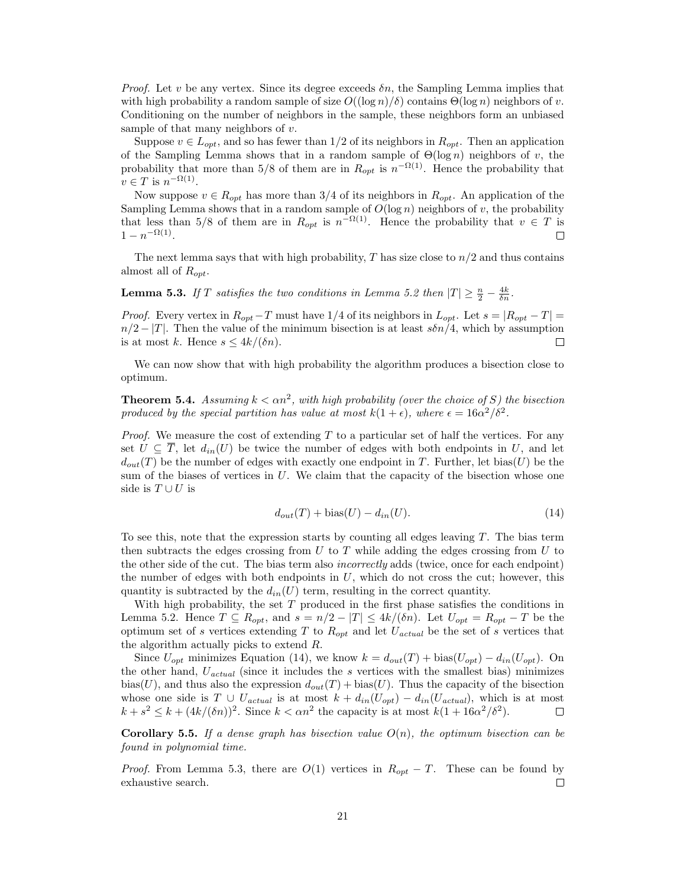*Proof.* Let v be any vertex. Since its degree exceeds  $\delta n$ , the Sampling Lemma implies that with high probability a random sample of size  $O((\log n)/\delta)$  contains  $\Theta(\log n)$  neighbors of v. Conditioning on the number of neighbors in the sample, these neighbors form an unbiased sample of that many neighbors of  $v$ .

Suppose  $v \in L_{opt}$ , and so has fewer than 1/2 of its neighbors in  $R_{opt}$ . Then an application of the Sampling Lemma shows that in a random sample of  $\Theta(\log n)$  neighbors of v, the probability that more than 5/8 of them are in  $R_{opt}$  is  $n^{-\Omega(1)}$ . Hence the probability that  $v \in T$  is  $n^{-\Omega(1)}$ .

Now suppose  $v \in R_{opt}$  has more than 3/4 of its neighbors in  $R_{opt}$ . An application of the Sampling Lemma shows that in a random sample of  $O(\log n)$  neighbors of v, the probability that less than 5/8 of them are in  $R_{opt}$  is  $n^{-\Omega(1)}$ . Hence the probability that  $v \in T$  is  $1 - n^{-\Omega(1)}$ .

The next lemma says that with high probability,  $T$  has size close to  $n/2$  and thus contains almost all of  $R_{opt}$ .

**Lemma 5.3.** If T satisfies the two conditions in Lemma 5.2 then  $|T| \geq \frac{n}{2} - \frac{4k}{\delta n}$ .

*Proof.* Every vertex in  $R_{opt}-T$  must have 1/4 of its neighbors in  $L_{opt}$ . Let  $s = |R_{opt}-T|$  $n/2 - |T|$ . Then the value of the minimum bisection is at least  $s\delta n/4$ , which by assumption is at most k. Hence  $s \leq 4k/(\delta n)$ . is at most k. Hence  $s \leq 4k/(\delta n)$ .

We can now show that with high probability the algorithm produces a bisection close to optimum.

**Theorem 5.4.** Assuming  $k < \alpha n^2$ , with high probability (over the choice of S) the bisection produced by the special partition has value at most  $k(1 + \epsilon)$ , where  $\epsilon = 16\alpha^2/\delta^2$ .

*Proof.* We measure the cost of extending  $T$  to a particular set of half the vertices. For any set  $U \subseteq \overline{T}$ , let  $d_{in}(U)$  be twice the number of edges with both endpoints in U, and let  $d_{out}(T)$  be the number of edges with exactly one endpoint in T. Further, let bias(U) be the sum of the biases of vertices in  $U$ . We claim that the capacity of the bisection whose one side is  $T \cup U$  is

$$
d_{out}(T) + \text{bias}(U) - d_{in}(U). \tag{14}
$$

To see this, note that the expression starts by counting all edges leaving  $T$ . The bias term then subtracts the edges crossing from  $U$  to  $T$  while adding the edges crossing from  $U$  to the other side of the cut. The bias term also *incorrectly* adds (twice, once for each endpoint) the number of edges with both endpoints in  $U$ , which do not cross the cut; however, this quantity is subtracted by the  $d_{in}(U)$  term, resulting in the correct quantity.

With high probability, the set  $T$  produced in the first phase satisfies the conditions in Lemma 5.2. Hence  $T \subseteq R_{opt}$ , and  $s = n/2 - |T| \leq 4k/(\delta n)$ . Let  $U_{opt} = R_{opt} - T$  be the optimum set of s vertices extending T to  $R_{opt}$  and let  $U_{actual}$  be the set of s vertices that the algorithm actually picks to extend R.

Since  $U_{opt}$  minimizes Equation (14), we know  $k = d_{out}(T) + \text{bias}(U_{opt}) - d_{in}(U_{opt})$ . On the other hand,  $U_{actual}$  (since it includes the s vertices with the smallest bias) minimizes bias(U), and thus also the expression  $d_{out}(T)$  + bias(U). Thus the capacity of the bisection whose one side is  $T \cup U_{actual}$  is at most  $k + d_{in}(U_{opt}) - d_{in}(U_{actual})$ , which is at most  $k + s^2 \le k + (4k/(\delta n))^2$ . Since  $k < \alpha n^2$  the capacity is at most  $k(1 + 16\alpha^2/\delta^2)$ .  $k + s^2 \le k + (4k/(\delta n))^2$ . Since  $k < \alpha n^2$  the capacity is at most  $k(1 + 16\alpha^2/\delta^2)$ .

**Corollary 5.5.** If a dense graph has bisection value  $O(n)$ , the optimum bisection can be found in polynomial time.

*Proof.* From Lemma 5.3, there are  $O(1)$  vertices in  $R_{opt} - T$ . These can be found by exhaustive search. exhaustive search.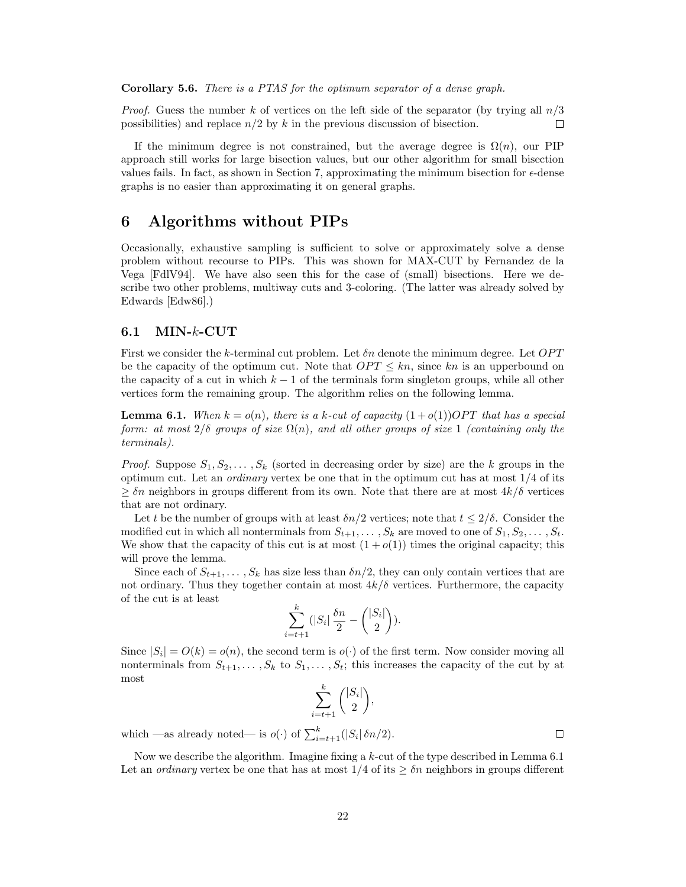Corollary 5.6. There is a PTAS for the optimum separator of a dense graph.

*Proof.* Guess the number k of vertices on the left side of the separator (by trying all  $n/3$ possibilities) and replace  $n/2$  by k in the previous discussion of bisection.  $\Box$ 

If the minimum degree is not constrained, but the average degree is  $\Omega(n)$ , our PIP approach still works for large bisection values, but our other algorithm for small bisection values fails. In fact, as shown in Section 7, approximating the minimum bisection for  $\epsilon$ -dense graphs is no easier than approximating it on general graphs.

# 6 Algorithms without PIPs

Occasionally, exhaustive sampling is sufficient to solve or approximately solve a dense problem without recourse to PIPs. This was shown for MAX-CUT by Fernandez de la Vega [FdlV94]. We have also seen this for the case of (small) bisections. Here we describe two other problems, multiway cuts and 3-coloring. (The latter was already solved by Edwards [Edw86].)

### 6.1 MIN-k-CUT

First we consider the k-terminal cut problem. Let  $\delta n$  denote the minimum degree. Let  $OPT$ be the capacity of the optimum cut. Note that  $OPT \leq kn$ , since kn is an upperbound on the capacity of a cut in which  $k - 1$  of the terminals form singleton groups, while all other vertices form the remaining group. The algorithm relies on the following lemma.

**Lemma 6.1.** When  $k = o(n)$ , there is a k-cut of capacity  $(1+o(1))OPT$  that has a special form: at most  $2/\delta$  groups of size  $\Omega(n)$ , and all other groups of size 1 (containing only the terminals).

*Proof.* Suppose  $S_1, S_2, \ldots, S_k$  (sorted in decreasing order by size) are the k groups in the optimum cut. Let an *ordinary* vertex be one that in the optimum cut has at most  $1/4$  of its  $\geq \delta n$  neighbors in groups different from its own. Note that there are at most  $4k/\delta$  vertices that are not ordinary.

Let t be the number of groups with at least  $\delta n/2$  vertices; note that  $t \leq 2/\delta$ . Consider the modified cut in which all nonterminals from  $S_{t+1}, \ldots, S_k$  are moved to one of  $S_1, S_2, \ldots, S_t$ . We show that the capacity of this cut is at most  $(1 + o(1))$  times the original capacity; this will prove the lemma.

Since each of  $S_{t+1}, \ldots, S_k$  has size less than  $\delta n/2$ , they can only contain vertices that are not ordinary. Thus they together contain at most  $4k/\delta$  vertices. Furthermore, the capacity of the cut is at least

$$
\sum_{i=t+1}^k (|S_i| \frac{\delta n}{2} - {|S_i| \choose 2}).
$$

Since  $|S_i| = O(k) = o(n)$ , the second term is  $o(\cdot)$  of the first term. Now consider moving all nonterminals from  $S_{t+1}, \ldots, S_k$  to  $S_1, \ldots, S_t$ ; this increases the capacity of the cut by at most k

$$
\sum_{i=t+1}^{\kappa} { |S_i| \choose 2},
$$

which —as already noted— is  $o(\cdot)$  of  $\sum_{i=t+1}^{k} (|S_i| \delta n/2)$ .

Now we describe the algorithm. Imagine fixing a k-cut of the type described in Lemma 6.1 Let an *ordinary* vertex be one that has at most  $1/4$  of its  $\geq \delta n$  neighbors in groups different

 $\Box$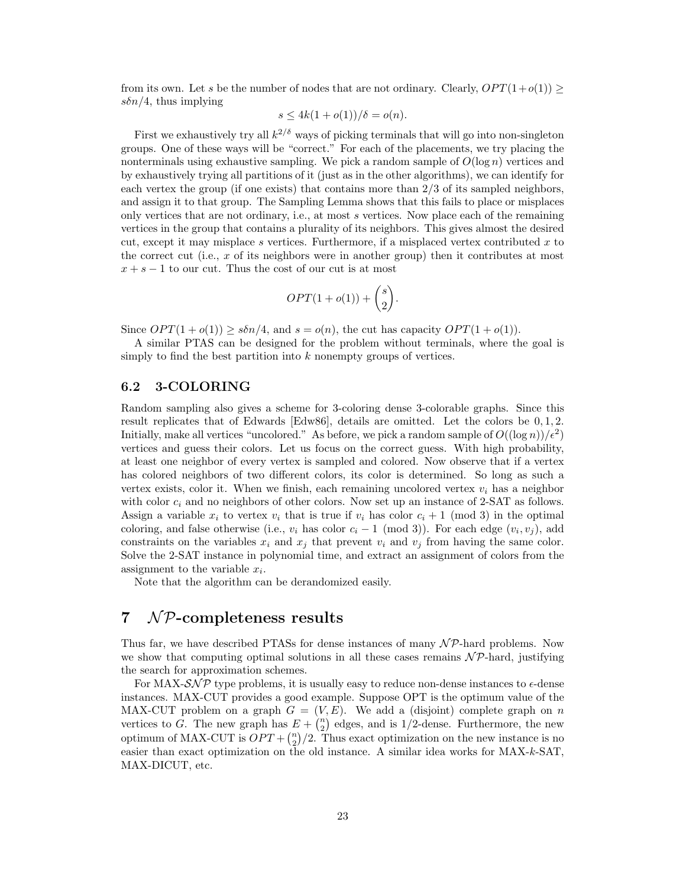from its own. Let s be the number of nodes that are not ordinary. Clearly,  $OPT(1+o(1))$  $s\delta n/4$ , thus implying

$$
s \le 4k(1+o(1))/\delta = o(n).
$$

First we exhaustively try all  $k^{2/\delta}$  ways of picking terminals that will go into non-singleton groups. One of these ways will be "correct." For each of the placements, we try placing the nonterminals using exhaustive sampling. We pick a random sample of  $O(\log n)$  vertices and by exhaustively trying all partitions of it (just as in the other algorithms), we can identify for each vertex the group (if one exists) that contains more than 2/3 of its sampled neighbors, and assign it to that group. The Sampling Lemma shows that this fails to place or misplaces only vertices that are not ordinary, i.e., at most s vertices. Now place each of the remaining vertices in the group that contains a plurality of its neighbors. This gives almost the desired cut, except it may misplace s vertices. Furthermore, if a misplaced vertex contributed  $x$  to the correct cut (i.e., x of its neighbors were in another group) then it contributes at most  $x + s - 1$  to our cut. Thus the cost of our cut is at most

$$
OPT(1 + o(1)) + \binom{s}{2}.
$$

Since  $OPT(1 + o(1)) \geq s\delta n/4$ , and  $s = o(n)$ , the cut has capacity  $OPT(1 + o(1))$ .

A similar PTAS can be designed for the problem without terminals, where the goal is simply to find the best partition into  $k$  nonempty groups of vertices.

### 6.2 3-COLORING

Random sampling also gives a scheme for 3-coloring dense 3-colorable graphs. Since this result replicates that of Edwards [Edw86], details are omitted. Let the colors be 0, 1, 2. Initially, make all vertices "uncolored." As before, we pick a random sample of  $O((\log n)/\epsilon^2)$ vertices and guess their colors. Let us focus on the correct guess. With high probability, at least one neighbor of every vertex is sampled and colored. Now observe that if a vertex has colored neighbors of two different colors, its color is determined. So long as such a vertex exists, color it. When we finish, each remaining uncolored vertex  $v_i$  has a neighbor with color  $c_i$  and no neighbors of other colors. Now set up an instance of 2-SAT as follows. Assign a variable  $x_i$  to vertex  $v_i$  that is true if  $v_i$  has color  $c_i + 1 \pmod{3}$  in the optimal coloring, and false otherwise (i.e.,  $v_i$  has color  $c_i - 1 \pmod{3}$ ). For each edge  $(v_i, v_j)$ , add constraints on the variables  $x_i$  and  $x_j$  that prevent  $v_i$  and  $v_j$  from having the same color. Solve the 2-SAT instance in polynomial time, and extract an assignment of colors from the assignment to the variable  $x_i$ .

Note that the algorithm can be derandomized easily.

# $7$  NP-completeness results

Thus far, we have described PTASs for dense instances of many  $N \mathcal{P}$ -hard problems. Now we show that computing optimal solutions in all these cases remains  $N\mathcal{P}$ -hard, justifying the search for approximation schemes.

For MAX- $\mathcal{SNP}$  type problems, it is usually easy to reduce non-dense instances to  $\epsilon$ -dense instances. MAX-CUT provides a good example. Suppose OPT is the optimum value of the MAX-CUT problem on a graph  $G = (V, E)$ . We add a (disjoint) complete graph on n vertices to G. The new graph has  $E + {n \choose 2}$  edges, and is 1/2-dense. Furthermore, the new optimum of MAX-CUT is  $OPT + \binom{n}{2}/2$ . Thus exact optimization on the new instance is no easier than exact optimization on the old instance. A similar idea works for MAX-k-SAT, MAX-DICUT, etc.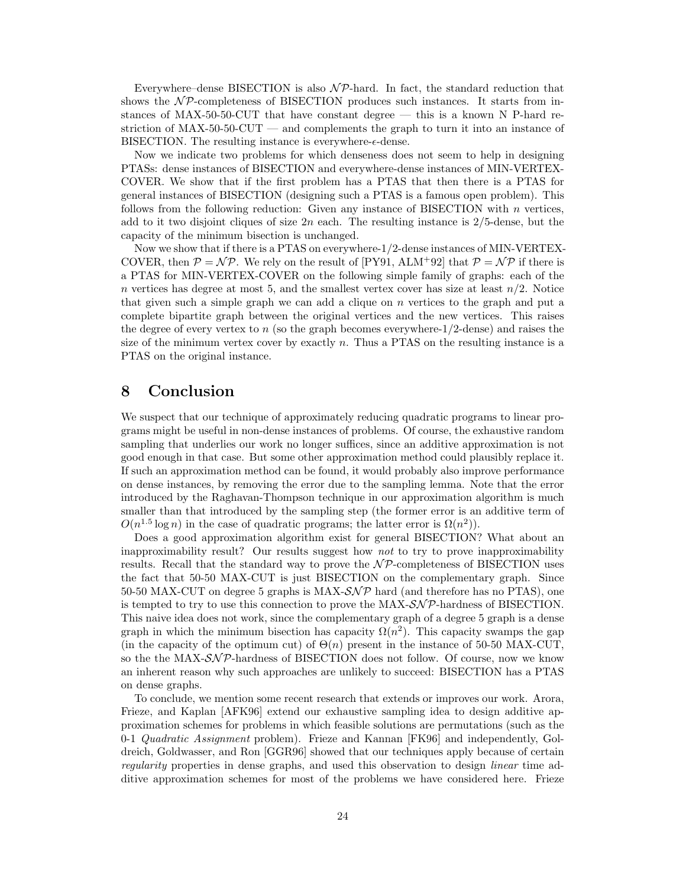Everywhere–dense BISECTION is also  $N\mathcal{P}$ -hard. In fact, the standard reduction that shows the  $\mathcal{NP}$ -completeness of BISECTION produces such instances. It starts from instances of MAX-50-50-CUT that have constant degree — this is a known N P-hard restriction of MAX-50-50-CUT — and complements the graph to turn it into an instance of BISECTION. The resulting instance is everywhere- $\epsilon$ -dense.

Now we indicate two problems for which denseness does not seem to help in designing PTASs: dense instances of BISECTION and everywhere-dense instances of MIN-VERTEX-COVER. We show that if the first problem has a PTAS that then there is a PTAS for general instances of BISECTION (designing such a PTAS is a famous open problem). This follows from the following reduction: Given any instance of BISECTION with  $n$  vertices, add to it two disjoint cliques of size  $2n$  each. The resulting instance is  $2/5$ -dense, but the capacity of the minimum bisection is unchanged.

Now we show that if there is a PTAS on everywhere-1/2-dense instances of MIN-VERTEX-COVER, then  $P = \mathcal{NP}$ . We rely on the result of  $[PY91, ALM+92]$  that  $P = \mathcal{NP}$  if there is a PTAS for MIN-VERTEX-COVER on the following simple family of graphs: each of the n vertices has degree at most 5, and the smallest vertex cover has size at least  $n/2$ . Notice that given such a simple graph we can add a clique on  $n$  vertices to the graph and put a complete bipartite graph between the original vertices and the new vertices. This raises the degree of every vertex to  $n$  (so the graph becomes everywhere- $1/2$ -dense) and raises the size of the minimum vertex cover by exactly  $n$ . Thus a PTAS on the resulting instance is a PTAS on the original instance.

# 8 Conclusion

We suspect that our technique of approximately reducing quadratic programs to linear programs might be useful in non-dense instances of problems. Of course, the exhaustive random sampling that underlies our work no longer suffices, since an additive approximation is not good enough in that case. But some other approximation method could plausibly replace it. If such an approximation method can be found, it would probably also improve performance on dense instances, by removing the error due to the sampling lemma. Note that the error introduced by the Raghavan-Thompson technique in our approximation algorithm is much smaller than that introduced by the sampling step (the former error is an additive term of  $O(n^{1.5} \log n)$  in the case of quadratic programs; the latter error is  $\Omega(n^2)$ ).

Does a good approximation algorithm exist for general BISECTION? What about an inapproximability result? Our results suggest how not to try to prove inapproximability results. Recall that the standard way to prove the  $N\mathcal{P}$ -completeness of BISECTION uses the fact that 50-50 MAX-CUT is just BISECTION on the complementary graph. Since 50-50 MAX-CUT on degree 5 graphs is MAX- $\mathcal{SNP}$  hard (and therefore has no PTAS), one is tempted to try to use this connection to prove the  $MAX\text{-}\mathcal{SNP}\text{-}hardness$  of BISECTION. This naive idea does not work, since the complementary graph of a degree 5 graph is a dense graph in which the minimum bisection has capacity  $\Omega(n^2)$ . This capacity swamps the gap (in the capacity of the optimum cut) of  $\Theta(n)$  present in the instance of 50-50 MAX-CUT, so the the MAX- $\mathcal{SNP}$ -hardness of BISECTION does not follow. Of course, now we know an inherent reason why such approaches are unlikely to succeed: BISECTION has a PTAS on dense graphs.

To conclude, we mention some recent research that extends or improves our work. Arora, Frieze, and Kaplan [AFK96] extend our exhaustive sampling idea to design additive approximation schemes for problems in which feasible solutions are permutations (such as the 0-1 Quadratic Assignment problem). Frieze and Kannan [FK96] and independently, Goldreich, Goldwasser, and Ron [GGR96] showed that our techniques apply because of certain regularity properties in dense graphs, and used this observation to design linear time additive approximation schemes for most of the problems we have considered here. Frieze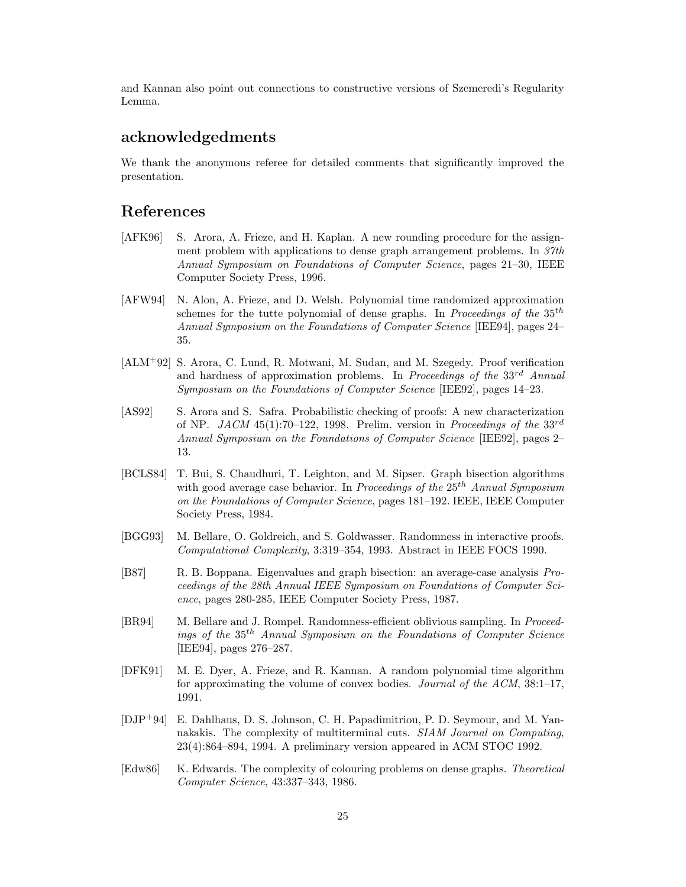and Kannan also point out connections to constructive versions of Szemeredi's Regularity Lemma.

# acknowledgedments

We thank the anonymous referee for detailed comments that significantly improved the presentation.

# References

- [AFK96] S. Arora, A. Frieze, and H. Kaplan. A new rounding procedure for the assignment problem with applications to dense graph arrangement problems. In 37th Annual Symposium on Foundations of Computer Science, pages 21–30, IEEE Computer Society Press, 1996.
- [AFW94] N. Alon, A. Frieze, and D. Welsh. Polynomial time randomized approximation schemes for the tutte polynomial of dense graphs. In Proceedings of the  $35<sup>th</sup>$ Annual Symposium on the Foundations of Computer Science [IEE94], pages 24– 35.
- [ALM<sup>+</sup>92] S. Arora, C. Lund, R. Motwani, M. Sudan, and M. Szegedy. Proof verification and hardness of approximation problems. In Proceedings of the  $33^{rd}$  Annual Symposium on the Foundations of Computer Science [IEE92], pages 14–23.
- [AS92] S. Arora and S. Safra. Probabilistic checking of proofs: A new characterization of NP. JACM 45(1):70–122, 1998. Prelim. version in Proceedings of the  $33^{rd}$ Annual Symposium on the Foundations of Computer Science [IEE92], pages 2– 13.
- [BCLS84] T. Bui, S. Chaudhuri, T. Leighton, and M. Sipser. Graph bisection algorithms with good average case behavior. In Proceedings of the  $25<sup>th</sup>$  Annual Symposium on the Foundations of Computer Science, pages 181–192. IEEE, IEEE Computer Society Press, 1984.
- [BGG93] M. Bellare, O. Goldreich, and S. Goldwasser. Randomness in interactive proofs. Computational Complexity, 3:319–354, 1993. Abstract in IEEE FOCS 1990.
- [B87] R. B. Boppana. Eigenvalues and graph bisection: an average-case analysis Proceedings of the 28th Annual IEEE Symposium on Foundations of Computer Science, pages 280-285, IEEE Computer Society Press, 1987.
- [BR94] M. Bellare and J. Rompel. Randomness-efficient oblivious sampling. In Proceedings of the 35th Annual Symposium on the Foundations of Computer Science [IEE94], pages 276–287.
- [DFK91] M. E. Dyer, A. Frieze, and R. Kannan. A random polynomial time algorithm for approximating the volume of convex bodies. Journal of the ACM, 38:1–17, 1991.
- [DJP<sup>+</sup>94] E. Dahlhaus, D. S. Johnson, C. H. Papadimitriou, P. D. Seymour, and M. Yannakakis. The complexity of multiterminal cuts. SIAM Journal on Computing, 23(4):864–894, 1994. A preliminary version appeared in ACM STOC 1992.
- [Edw86] K. Edwards. The complexity of colouring problems on dense graphs. Theoretical Computer Science, 43:337–343, 1986.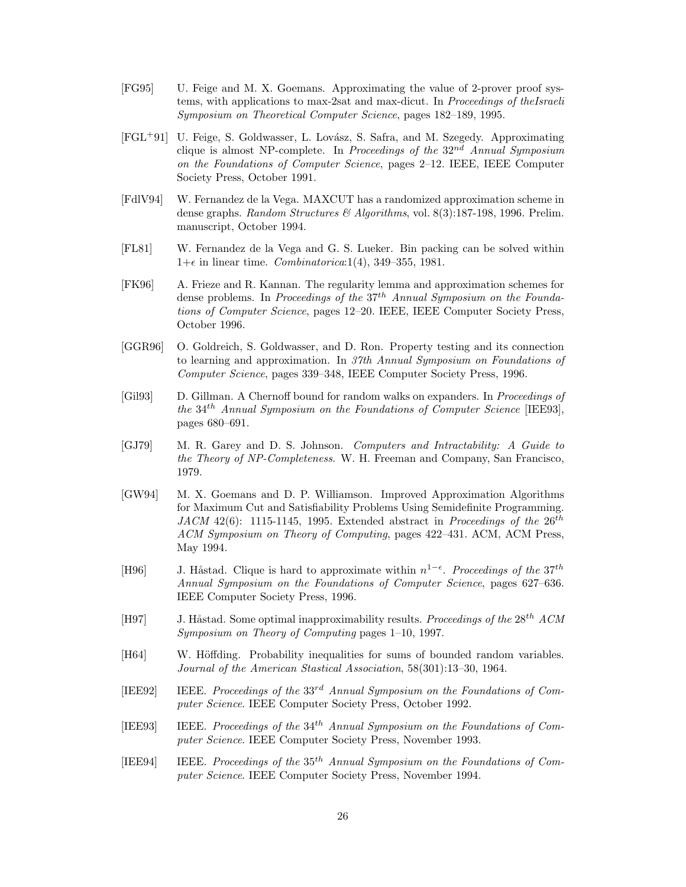- [FG95] U. Feige and M. X. Goemans. Approximating the value of 2-prover proof systems, with applications to max-2sat and max-dicut. In Proceedings of theIsraeli Symposium on Theoretical Computer Science, pages 182–189, 1995.
- [FGL<sup>+</sup>91] U. Feige, S. Goldwasser, L. Lov´asz, S. Safra, and M. Szegedy. Approximating clique is almost NP-complete. In Proceedings of the  $32^{nd}$  Annual Symposium on the Foundations of Computer Science, pages 2–12. IEEE, IEEE Computer Society Press, October 1991.
- [FdlV94] W. Fernandez de la Vega. MAXCUT has a randomized approximation scheme in dense graphs. Random Structures & Algorithms, vol. 8(3):187-198, 1996. Prelim. manuscript, October 1994.
- [FL81] W. Fernandez de la Vega and G. S. Lueker. Bin packing can be solved within  $1+\epsilon$  in linear time. *Combinatorica*:1(4), 349–355, 1981.
- [FK96] A. Frieze and R. Kannan. The regularity lemma and approximation schemes for dense problems. In Proceedings of the  $37<sup>th</sup>$  Annual Symposium on the Foundations of Computer Science, pages 12–20. IEEE, IEEE Computer Society Press, October 1996.
- [GGR96] O. Goldreich, S. Goldwasser, and D. Ron. Property testing and its connection to learning and approximation. In 37th Annual Symposium on Foundations of Computer Science, pages 339–348, IEEE Computer Society Press, 1996.
- [Gil93] D. Gillman. A Chernoff bound for random walks on expanders. In Proceedings of the  $34<sup>th</sup>$  Annual Symposium on the Foundations of Computer Science [IEE93], pages 680–691.
- [GJ79] M. R. Garey and D. S. Johnson. Computers and Intractability: A Guide to the Theory of NP-Completeness. W. H. Freeman and Company, San Francisco, 1979.
- [GW94] M. X. Goemans and D. P. Williamson. Improved Approximation Algorithms for Maximum Cut and Satisfiability Problems Using Semidefinite Programming. JACM 42(6): 1115-1145, 1995. Extended abstract in Proceedings of the  $26^{th}$ ACM Symposium on Theory of Computing, pages 422–431. ACM, ACM Press, May 1994.
- [H96] J. Håstad. Clique is hard to approximate within  $n^{1-\epsilon}$ . Proceedings of the 37<sup>th</sup> Annual Symposium on the Foundations of Computer Science, pages 627–636. IEEE Computer Society Press, 1996.
- [H97] J. Håstad. Some optimal inapproximability results. Proceedings of the  $28^{th}$  ACM Symposium on Theory of Computing pages 1–10, 1997.
- [H64] W. Höffding. Probability inequalities for sums of bounded random variables. Journal of the American Stastical Association, 58(301):13–30, 1964.
- [IEE92] IEEE. Proceedings of the  $33^{rd}$  Annual Symposium on the Foundations of Computer Science. IEEE Computer Society Press, October 1992.
- [IEE93] IEEE. Proceedings of the  $34<sup>th</sup>$  Annual Symposium on the Foundations of Computer Science. IEEE Computer Society Press, November 1993.
- [IEE94] IEEE. Proceedings of the 35th Annual Symposium on the Foundations of Computer Science. IEEE Computer Society Press, November 1994.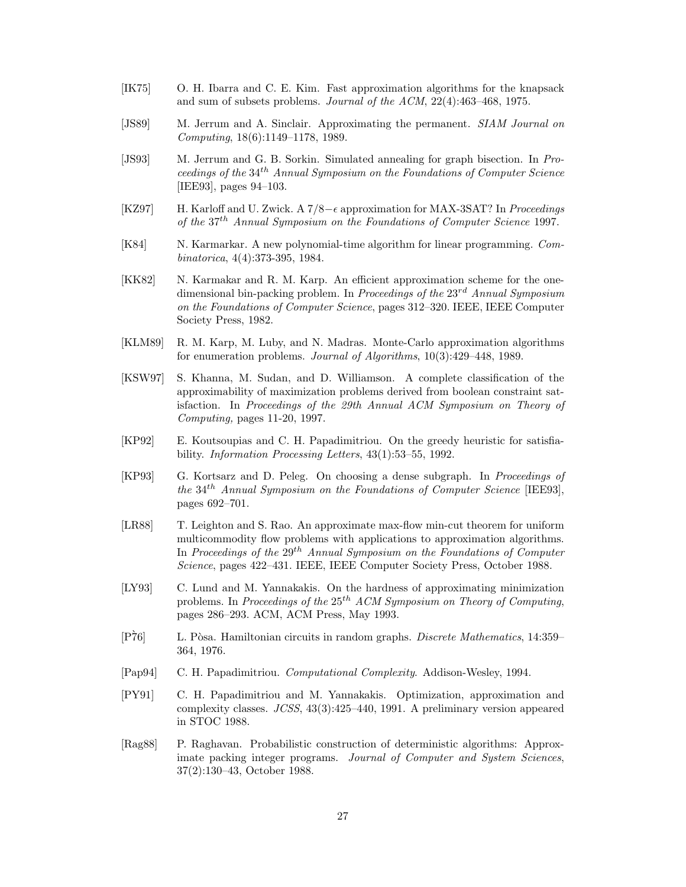- [IK75] O. H. Ibarra and C. E. Kim. Fast approximation algorithms for the knapsack and sum of subsets problems. Journal of the ACM, 22(4):463–468, 1975.
- [JS89] M. Jerrum and A. Sinclair. Approximating the permanent. SIAM Journal on Computing, 18(6):1149–1178, 1989.
- [JS93] M. Jerrum and G. B. Sorkin. Simulated annealing for graph bisection. In Proceedings of the 34th Annual Symposium on the Foundations of Computer Science [IEE93], pages 94–103.
- [KZ97] H. Karloff and U. Zwick. A 7/8− approximation for MAX-3SAT? In Proceedings of the 37th Annual Symposium on the Foundations of Computer Science 1997.
- [K84] N. Karmarkar. A new polynomial-time algorithm for linear programming. Combinatorica, 4(4):373-395, 1984.
- [KK82] N. Karmakar and R. M. Karp. An efficient approximation scheme for the onedimensional bin-packing problem. In Proceedings of the  $23<sup>rd</sup>$  Annual Symposium on the Foundations of Computer Science, pages 312–320. IEEE, IEEE Computer Society Press, 1982.
- [KLM89] R. M. Karp, M. Luby, and N. Madras. Monte-Carlo approximation algorithms for enumeration problems. Journal of Algorithms, 10(3):429–448, 1989.
- [KSW97] S. Khanna, M. Sudan, and D. Williamson. A complete classification of the approximability of maximization problems derived from boolean constraint satisfaction. In Proceedings of the 29th Annual ACM Symposium on Theory of Computing, pages 11-20, 1997.
- [KP92] E. Koutsoupias and C. H. Papadimitriou. On the greedy heuristic for satisfiability. Information Processing Letters, 43(1):53–55, 1992.
- [KP93] G. Kortsarz and D. Peleg. On choosing a dense subgraph. In Proceedings of the  $34<sup>th</sup>$  Annual Symposium on the Foundations of Computer Science [IEE93], pages 692–701.
- [LR88] T. Leighton and S. Rao. An approximate max-flow min-cut theorem for uniform multicommodity flow problems with applications to approximation algorithms. In Proceedings of the  $29^{th}$  Annual Symposium on the Foundations of Computer Science, pages 422–431. IEEE, IEEE Computer Society Press, October 1988.
- [LY93] C. Lund and M. Yannakakis. On the hardness of approximating minimization problems. In Proceedings of the  $25^{th}$  ACM Symposium on Theory of Computing, pages 286–293. ACM, ACM Press, May 1993.
- [P $\tilde{7}6$ ] L. Pòsa. Hamiltonian circuits in random graphs. *Discrete Mathematics*, 14:359– 364, 1976.
- [Pap94] C. H. Papadimitriou. Computational Complexity. Addison-Wesley, 1994.
- [PY91] C. H. Papadimitriou and M. Yannakakis. Optimization, approximation and complexity classes. JCSS, 43(3):425–440, 1991. A preliminary version appeared in STOC 1988.
- [Rag88] P. Raghavan. Probabilistic construction of deterministic algorithms: Approximate packing integer programs. Journal of Computer and System Sciences, 37(2):130–43, October 1988.